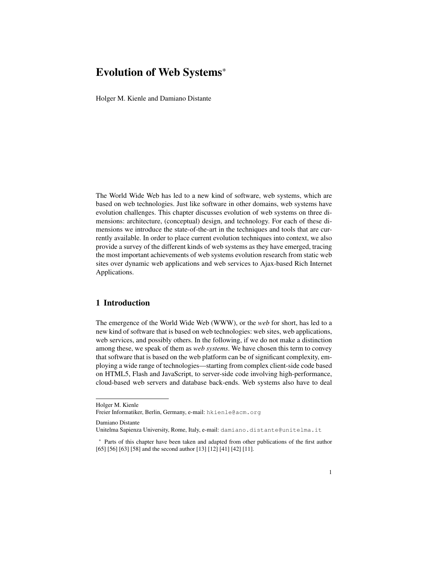Holger M. Kienle and Damiano Distante

The World Wide Web has led to a new kind of software, web systems, which are based on web technologies. Just like software in other domains, web systems have evolution challenges. This chapter discusses evolution of web systems on three dimensions: architecture, (conceptual) design, and technology. For each of these dimensions we introduce the state-of-the-art in the techniques and tools that are currently available. In order to place current evolution techniques into context, we also provide a survey of the different kinds of web systems as they have emerged, tracing the most important achievements of web systems evolution research from static web sites over dynamic web applications and web services to Ajax-based Rich Internet Applications.

# 1 Introduction

The emergence of the World Wide Web (WWW), or the *web* for short, has led to a new kind of software that is based on web technologies: web sites, web applications, web services, and possibly others. In the following, if we do not make a distinction among these, we speak of them as *web systems*. We have chosen this term to convey that software that is based on the web platform can be of significant complexity, employing a wide range of technologies—starting from complex client-side code based on HTML5, Flash and JavaScript, to server-side code involving high-performance, cloud-based web servers and database back-ends. Web systems also have to deal

Damiano Distante

Holger M. Kienle

Freier Informatiker, Berlin, Germany, e-mail: hkienle@acm.org

Unitelma Sapienza University, Rome, Italy, e-mail: damiano.distante@unitelma.it

Parts of this chapter have been taken and adapted from other publications of the first author [65] [56] [63] [58] and the second author [13] [12] [41] [42] [11].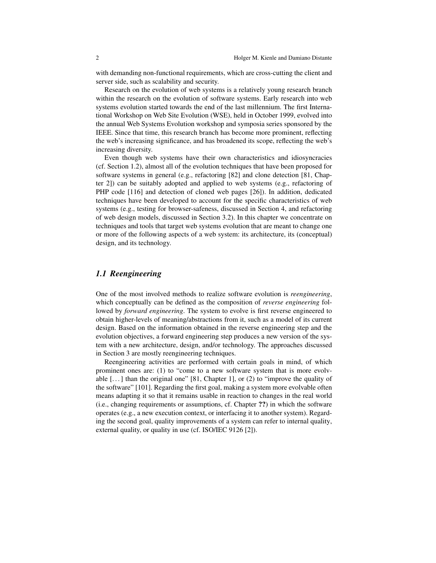with demanding non-functional requirements, which are cross-cutting the client and server side, such as scalability and security.

Research on the evolution of web systems is a relatively young research branch within the research on the evolution of software systems. Early research into web systems evolution started towards the end of the last millennium. The first International Workshop on Web Site Evolution (WSE), held in October 1999, evolved into the annual Web Systems Evolution workshop and symposia series sponsored by the IEEE. Since that time, this research branch has become more prominent, reflecting the web's increasing significance, and has broadened its scope, reflecting the web's increasing diversity.

Even though web systems have their own characteristics and idiosyncracies (cf. Section 1.2), almost all of the evolution techniques that have been proposed for software systems in general (e.g., refactoring [82] and clone detection [81, Chapter 2]) can be suitably adopted and applied to web systems (e.g., refactoring of PHP code [116] and detection of cloned web pages [26]). In addition, dedicated techniques have been developed to account for the specific characteristics of web systems (e.g., testing for browser-safeness, discussed in Section 4, and refactoring of web design models, discussed in Section 3.2). In this chapter we concentrate on techniques and tools that target web systems evolution that are meant to change one or more of the following aspects of a web system: its architecture, its (conceptual) design, and its technology.

# *1.1 Reengineering*

One of the most involved methods to realize software evolution is *reengineering*, which conceptually can be defined as the composition of *reverse engineering* followed by *forward engineering*. The system to evolve is first reverse engineered to obtain higher-levels of meaning/abstractions from it, such as a model of its current design. Based on the information obtained in the reverse engineering step and the evolution objectives, a forward engineering step produces a new version of the system with a new architecture, design, and/or technology. The approaches discussed in Section 3 are mostly reengineering techniques.

Reengineering activities are performed with certain goals in mind, of which prominent ones are: (1) to "come to a new software system that is more evolvable  $[...]$  than the original one"  $[81, Chapter 1]$ , or  $(2)$  to "improve the quality of the software" [101]. Regarding the first goal, making a system more evolvable often means adapting it so that it remains usable in reaction to changes in the real world (i.e., changing requirements or assumptions, cf. Chapter ??) in which the software operates (e.g., a new execution context, or interfacing it to another system). Regarding the second goal, quality improvements of a system can refer to internal quality, external quality, or quality in use (cf. ISO/IEC 9126 [2]).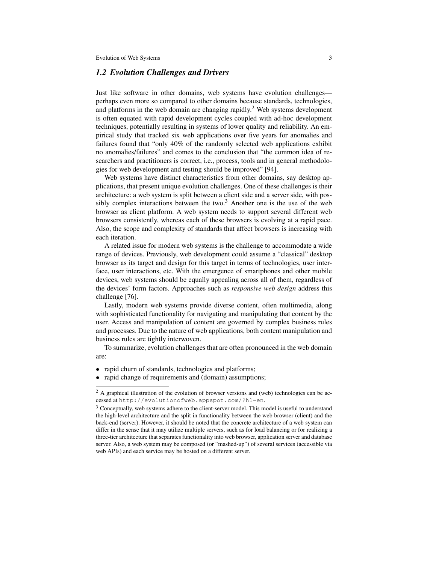### *1.2 Evolution Challenges and Drivers*

Just like software in other domains, web systems have evolution challenges perhaps even more so compared to other domains because standards, technologies, and platforms in the web domain are changing rapidly.<sup>2</sup> Web systems development is often equated with rapid development cycles coupled with ad-hoc development techniques, potentially resulting in systems of lower quality and reliability. An empirical study that tracked six web applications over five years for anomalies and failures found that "only 40% of the randomly selected web applications exhibit no anomalies/failures" and comes to the conclusion that "the common idea of researchers and practitioners is correct, i.e., process, tools and in general methodologies for web development and testing should be improved" [94].

Web systems have distinct characteristics from other domains, say desktop applications, that present unique evolution challenges. One of these challenges is their architecture: a web system is split between a client side and a server side, with possibly complex interactions between the two. $3$  Another one is the use of the web browser as client platform. A web system needs to support several different web browsers consistently, whereas each of these browsers is evolving at a rapid pace. Also, the scope and complexity of standards that affect browsers is increasing with each iteration.

A related issue for modern web systems is the challenge to accommodate a wide range of devices. Previously, web development could assume a "classical" desktop browser as its target and design for this target in terms of technologies, user interface, user interactions, etc. With the emergence of smartphones and other mobile devices, web systems should be equally appealing across all of them, regardless of the devices' form factors. Approaches such as *responsive web design* address this challenge [76].

Lastly, modern web systems provide diverse content, often multimedia, along with sophisticated functionality for navigating and manipulating that content by the user. Access and manipulation of content are governed by complex business rules and processes. Due to the nature of web applications, both content manipulation and business rules are tightly interwoven.

To summarize, evolution challenges that are often pronounced in the web domain are:

- rapid churn of standards, technologies and platforms;
- rapid change of requirements and (domain) assumptions;

 $2A$  graphical illustration of the evolution of browser versions and (web) technologies can be accessed at http://evolutionofweb.appspot.com/?hl=en.

<sup>&</sup>lt;sup>3</sup> Conceptually, web systems adhere to the client-server model. This model is useful to understand the high-level architecture and the split in functionality between the web browser (client) and the back-end (server). However, it should be noted that the concrete architecture of a web system can differ in the sense that it may utilize multiple servers, such as for load balancing or for realizing a three-tier architecture that separates functionality into web browser, application server and database server. Also, a web system may be composed (or "mashed-up") of several services (accessible via web APIs) and each service may be hosted on a different server.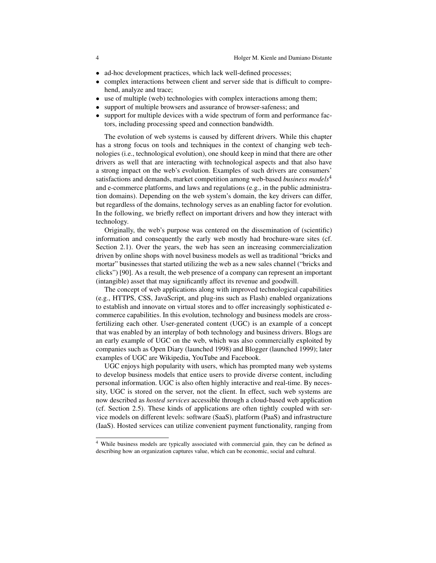- ad-hoc development practices, which lack well-defined processes;
- complex interactions between client and server side that is difficult to comprehend, analyze and trace;
- use of multiple (web) technologies with complex interactions among them;
- support of multiple browsers and assurance of browser-safeness; and
- support for multiple devices with a wide spectrum of form and performance factors, including processing speed and connection bandwidth.

The evolution of web systems is caused by different drivers. While this chapter has a strong focus on tools and techniques in the context of changing web technologies (i.e., technological evolution), one should keep in mind that there are other drivers as well that are interacting with technological aspects and that also have a strong impact on the web's evolution. Examples of such drivers are consumers' satisfactions and demands, market competition among web-based *business models*<sup>4</sup> and e-commerce platforms, and laws and regulations (e.g., in the public administration domains). Depending on the web system's domain, the key drivers can differ, but regardless of the domains, technology serves as an enabling factor for evolution. In the following, we briefly reflect on important drivers and how they interact with technology.

Originally, the web's purpose was centered on the dissemination of (scientific) information and consequently the early web mostly had brochure-ware sites (cf. Section 2.1). Over the years, the web has seen an increasing commercialization driven by online shops with novel business models as well as traditional "bricks and mortar" businesses that started utilizing the web as a new sales channel ("bricks and clicks") [90]. As a result, the web presence of a company can represent an important (intangible) asset that may significantly affect its revenue and goodwill.

The concept of web applications along with improved technological capabilities (e.g., HTTPS, CSS, JavaScript, and plug-ins such as Flash) enabled organizations to establish and innovate on virtual stores and to offer increasingly sophisticated ecommerce capabilities. In this evolution, technology and business models are crossfertilizing each other. User-generated content (UGC) is an example of a concept that was enabled by an interplay of both technology and business drivers. Blogs are an early example of UGC on the web, which was also commercially exploited by companies such as Open Diary (launched 1998) and Blogger (launched 1999); later examples of UGC are Wikipedia, YouTube and Facebook.

UGC enjoys high popularity with users, which has prompted many web systems to develop business models that entice users to provide diverse content, including personal information. UGC is also often highly interactive and real-time. By necessity, UGC is stored on the server, not the client. In effect, such web systems are now described as *hosted services* accessible through a cloud-based web application (cf. Section 2.5). These kinds of applications are often tightly coupled with service models on different levels: software (SaaS), platform (PaaS) and infrastructure (IaaS). Hosted services can utilize convenient payment functionality, ranging from

<sup>4</sup> While business models are typically associated with commercial gain, they can be defined as describing how an organization captures value, which can be economic, social and cultural.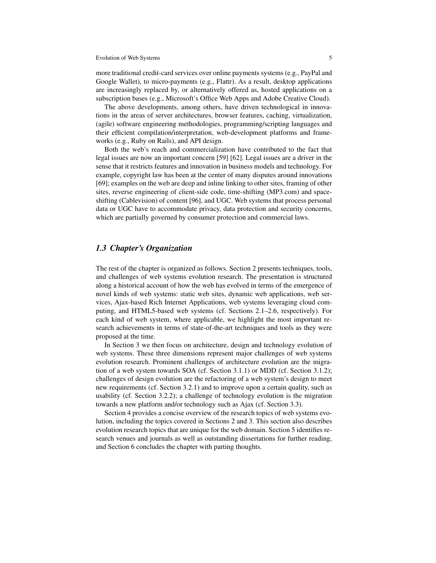more traditional credit-card services over online payments systems (e.g., PayPal and Google Wallet), to micro-payments (e.g., Flattr). As a result, desktop applications are increasingly replaced by, or alternatively offered as, hosted applications on a subscription bases (e.g., Microsoft's Office Web Apps and Adobe Creative Cloud).

The above developments, among others, have driven technological in innovations in the areas of server architectures, browser features, caching, virtualization, (agile) software engineering methodologies, programming/scripting languages and their efficient compilation/interpretation, web-development platforms and frameworks (e.g., Ruby on Rails), and API design.

Both the web's reach and commercialization have contributed to the fact that legal issues are now an important concern [59] [62]. Legal issues are a driver in the sense that it restricts features and innovation in business models and technology. For example, copyright law has been at the center of many disputes around innovations [69]; examples on the web are deep and inline linking to other sites, framing of other sites, reverse engineering of client-side code, time-shifting (MP3.com) and spaceshifting (Cablevision) of content [96], and UGC. Web systems that process personal data or UGC have to accommodate privacy, data protection and security concerns, which are partially governed by consumer protection and commercial laws.

# *1.3 Chapter's Organization*

The rest of the chapter is organized as follows. Section 2 presents techniques, tools, and challenges of web systems evolution research. The presentation is structured along a historical account of how the web has evolved in terms of the emergence of novel kinds of web systems: static web sites, dynamic web applications, web services, Ajax-based Rich Internet Applications, web systems leveraging cloud computing, and HTML5-based web systems (cf. Sections 2.1–2.6, respectively). For each kind of web system, where applicable, we highlight the most important research achievements in terms of state-of-the-art techniques and tools as they were proposed at the time.

In Section 3 we then focus on architecture, design and technology evolution of web systems. These three dimensions represent major challenges of web systems evolution research. Prominent challenges of architecture evolution are the migration of a web system towards SOA (cf. Section 3.1.1) or MDD (cf. Section 3.1.2); challenges of design evolution are the refactoring of a web system's design to meet new requirements (cf. Section 3.2.1) and to improve upon a certain quality, such as usability (cf. Section 3.2.2); a challenge of technology evolution is the migration towards a new platform and/or technology such as Ajax (cf. Section 3.3).

Section 4 provides a concise overview of the research topics of web systems evolution, including the topics covered in Sections 2 and 3. This section also describes evolution research topics that are unique for the web domain. Section 5 identifies research venues and journals as well as outstanding dissertations for further reading, and Section 6 concludes the chapter with parting thoughts.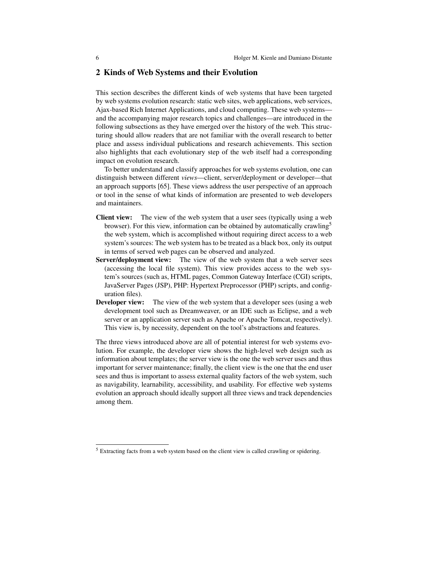### 2 Kinds of Web Systems and their Evolution

This section describes the different kinds of web systems that have been targeted by web systems evolution research: static web sites, web applications, web services, Ajax-based Rich Internet Applications, and cloud computing. These web systems and the accompanying major research topics and challenges—are introduced in the following subsections as they have emerged over the history of the web. This structuring should allow readers that are not familiar with the overall research to better place and assess individual publications and research achievements. This section also highlights that each evolutionary step of the web itself had a corresponding impact on evolution research.

To better understand and classify approaches for web systems evolution, one can distinguish between different *views*—client, server/deployment or developer—that an approach supports [65]. These views address the user perspective of an approach or tool in the sense of what kinds of information are presented to web developers and maintainers.

- Client view: The view of the web system that a user sees (typically using a web browser). For this view, information can be obtained by automatically crawling<sup>5</sup> the web system, which is accomplished without requiring direct access to a web system's sources: The web system has to be treated as a black box, only its output in terms of served web pages can be observed and analyzed.
- Server/deployment view: The view of the web system that a web server sees (accessing the local file system). This view provides access to the web system's sources (such as, HTML pages, Common Gateway Interface (CGI) scripts, JavaServer Pages (JSP), PHP: Hypertext Preprocessor (PHP) scripts, and configuration files).
- **Developer view:** The view of the web system that a developer sees (using a web development tool such as Dreamweaver, or an IDE such as Eclipse, and a web server or an application server such as Apache or Apache Tomcat, respectively). This view is, by necessity, dependent on the tool's abstractions and features.

The three views introduced above are all of potential interest for web systems evolution. For example, the developer view shows the high-level web design such as information about templates; the server view is the one the web server uses and thus important for server maintenance; finally, the client view is the one that the end user sees and thus is important to assess external quality factors of the web system, such as navigability, learnability, accessibility, and usability. For effective web systems evolution an approach should ideally support all three views and track dependencies among them.

<sup>&</sup>lt;sup>5</sup> Extracting facts from a web system based on the client view is called crawling or spidering.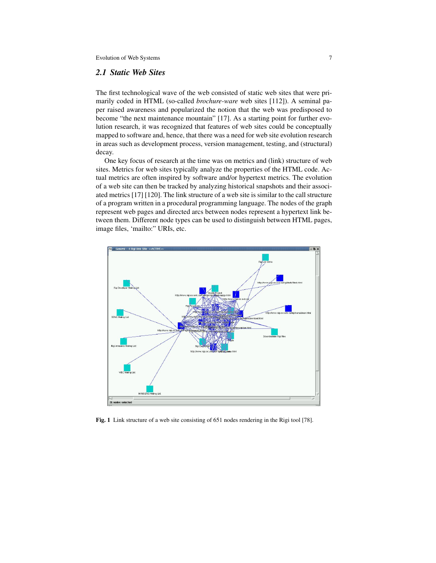### *2.1 Static Web Sites*

The first technological wave of the web consisted of static web sites that were primarily coded in HTML (so-called *brochure-ware* web sites [112]). A seminal paper raised awareness and popularized the notion that the web was predisposed to become "the next maintenance mountain" [17]. As a starting point for further evolution research, it was recognized that features of web sites could be conceptually mapped to software and, hence, that there was a need for web site evolution research in areas such as development process, version management, testing, and (structural) decay.

One key focus of research at the time was on metrics and (link) structure of web sites. Metrics for web sites typically analyze the properties of the HTML code. Actual metrics are often inspired by software and/or hypertext metrics. The evolution of a web site can then be tracked by analyzing historical snapshots and their associated metrics [17] [120]. The link structure of a web site is similar to the call structure of a program written in a procedural programming language. The nodes of the graph represent web pages and directed arcs between nodes represent a hypertext link between them. Different node types can be used to distinguish between HTML pages, image files, 'mailto:" URIs, etc.



Fig. 1 Link structure of a web site consisting of 651 nodes rendering in the Rigi tool [78].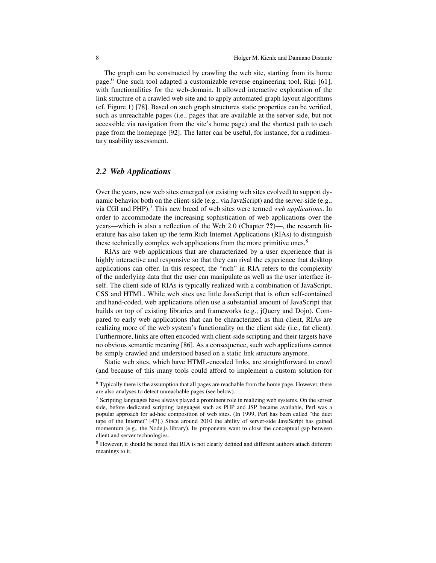The graph can be constructed by crawling the web site, starting from its home page.<sup>6</sup> One such tool adapted a customizable reverse engineering tool, Rigi [61], with functionalities for the web-domain. It allowed interactive exploration of the link structure of a crawled web site and to apply automated graph layout algorithms (cf. Figure 1) [78]. Based on such graph structures static properties can be verified, such as unreachable pages (i.e., pages that are available at the server side, but not accessible via navigation from the site's home page) and the shortest path to each page from the homepage [92]. The latter can be useful, for instance, for a rudimentary usability assessment.

# *2.2 Web Applications*

Over the years, new web sites emerged (or existing web sites evolved) to support dynamic behavior both on the client-side (e.g., via JavaScript) and the server-side (e.g., via CGI and PHP).<sup>7</sup> This new breed of web sites were termed *web applications*. In order to accommodate the increasing sophistication of web applications over the years—which is also a reflection of the Web 2.0 (Chapter ??)—, the research literature has also taken up the term Rich Internet Applications (RIAs) to distinguish these technically complex web applications from the more primitive ones.<sup>8</sup>

RIAs are web applications that are characterized by a user experience that is highly interactive and responsive so that they can rival the experience that desktop applications can offer. In this respect, the "rich" in RIA refers to the complexity of the underlying data that the user can manipulate as well as the user interface itself. The client side of RIAs is typically realized with a combination of JavaScript, CSS and HTML. While web sites use little JavaScript that is often self-contained and hand-coded, web applications often use a substantial amount of JavaScript that builds on top of existing libraries and frameworks (e.g., jQuery and Dojo). Compared to early web applications that can be characterized as thin client, RIAs are realizing more of the web system's functionality on the client side (i.e., fat client). Furthermore, links are often encoded with client-side scripting and their targets have no obvious semantic meaning [86]. As a consequence, such web applications cannot be simply crawled and understood based on a static link structure anymore.

Static web sites, which have HTML-encoded links, are straightforward to crawl (and because of this many tools could afford to implement a custom solution for

<sup>&</sup>lt;sup>6</sup> Typically there is the assumption that all pages are reachable from the home page. However, there are also analyses to detect unreachable pages (see below).

 $<sup>7</sup>$  Scripting languages have always played a prominent role in realizing web systems. On the server</sup> side, before dedicated scripting languages such as PHP and JSP became available, Perl was a popular approach for ad-hoc composition of web sites. (In 1999, Perl has been called "the duct tape of the Internet" [47].) Since around 2010 the ability of server-side JavaScript has gained momentum (e.g., the Node.js library). Its proponents want to close the conceptual gap between client and server technologies.

<sup>8</sup> However, it should be noted that RIA is not clearly defined and different authors attach different meanings to it.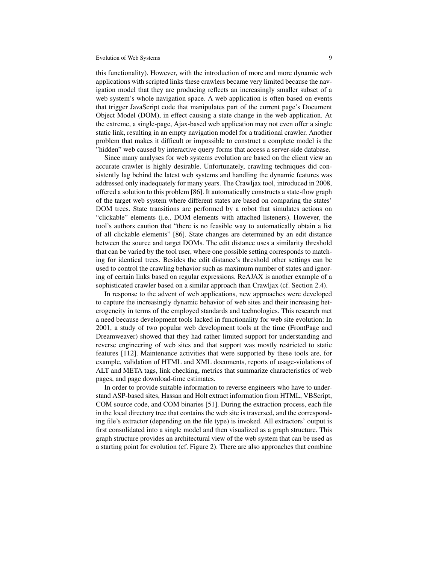this functionality). However, with the introduction of more and more dynamic web applications with scripted links these crawlers became very limited because the navigation model that they are producing reflects an increasingly smaller subset of a web system's whole navigation space. A web application is often based on events that trigger JavaScript code that manipulates part of the current page's Document Object Model (DOM), in effect causing a state change in the web application. At the extreme, a single-page, Ajax-based web application may not even offer a single static link, resulting in an empty navigation model for a traditional crawler. Another problem that makes it difficult or impossible to construct a complete model is the "hidden" web caused by interactive query forms that access a server-side database.

Since many analyses for web systems evolution are based on the client view an accurate crawler is highly desirable. Unfortunately, crawling techniques did consistently lag behind the latest web systems and handling the dynamic features was addressed only inadequately for many years. The Crawljax tool, introduced in 2008, offered a solution to this problem [86]. It automatically constructs a state-flow graph of the target web system where different states are based on comparing the states' DOM trees. State transitions are performed by a robot that simulates actions on "clickable" elements (i.e., DOM elements with attached listeners). However, the tool's authors caution that "there is no feasible way to automatically obtain a list of all clickable elements" [86]. State changes are determined by an edit distance between the source and target DOMs. The edit distance uses a similarity threshold that can be varied by the tool user, where one possible setting corresponds to matching for identical trees. Besides the edit distance's threshold other settings can be used to control the crawling behavior such as maximum number of states and ignoring of certain links based on regular expressions. ReAJAX is another example of a sophisticated crawler based on a similar approach than Crawljax (cf. Section 2.4).

In response to the advent of web applications, new approaches were developed to capture the increasingly dynamic behavior of web sites and their increasing heterogeneity in terms of the employed standards and technologies. This research met a need because development tools lacked in functionality for web site evolution: In 2001, a study of two popular web development tools at the time (FrontPage and Dreamweaver) showed that they had rather limited support for understanding and reverse engineering of web sites and that support was mostly restricted to static features [112]. Maintenance activities that were supported by these tools are, for example, validation of HTML and XML documents, reports of usage-violations of ALT and META tags, link checking, metrics that summarize characteristics of web pages, and page download-time estimates.

In order to provide suitable information to reverse engineers who have to understand ASP-based sites, Hassan and Holt extract information from HTML, VBScript, COM source code, and COM binaries [51]. During the extraction process, each file in the local directory tree that contains the web site is traversed, and the corresponding file's extractor (depending on the file type) is invoked. All extractors' output is first consolidated into a single model and then visualized as a graph structure. This graph structure provides an architectural view of the web system that can be used as a starting point for evolution (cf. Figure 2). There are also approaches that combine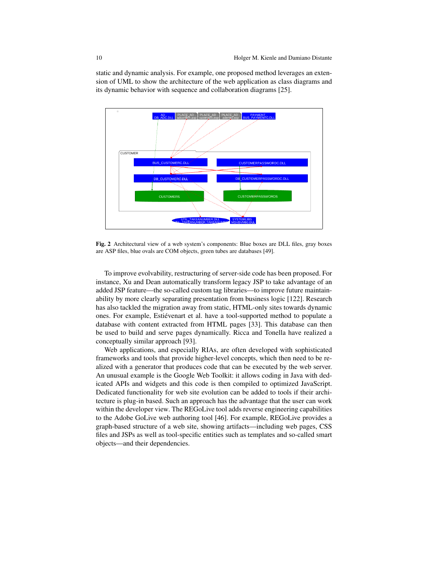static and dynamic analysis. For example, one proposed method leverages an extension of UML to show the architecture of the web application as class diagrams and its dynamic behavior with sequence and collaboration diagrams [25].



Fig. 2 Architectural view of a web system's components: Blue boxes are DLL files, gray boxes are ASP files, blue ovals are COM objects, green tubes are databases [49].

To improve evolvability, restructuring of server-side code has been proposed. For instance, Xu and Dean automatically transform legacy JSP to take advantage of an added JSP feature—the so-called custom tag libraries—to improve future maintainability by more clearly separating presentation from business logic [122]. Research has also tackled the migration away from static, HTML-only sites towards dynamic ones. For example, Estiévenart et al. have a tool-supported method to populate a database with content extracted from HTML pages [33]. This database can then be used to build and serve pages dynamically. Ricca and Tonella have realized a conceptually similar approach [93].

Web applications, and especially RIAs, are often developed with sophisticated frameworks and tools that provide higher-level concepts, which then need to be realized with a generator that produces code that can be executed by the web server. An unusual example is the Google Web Toolkit: it allows coding in Java with dedicated APIs and widgets and this code is then compiled to optimized JavaScript. Dedicated functionality for web site evolution can be added to tools if their architecture is plug-in based. Such an approach has the advantage that the user can work within the developer view. The REGoLive tool adds reverse engineering capabilities to the Adobe GoLive web authoring tool [46]. For example, REGoLive provides a graph-based structure of a web site, showing artifacts—including web pages, CSS files and JSPs as well as tool-specific entities such as templates and so-called smart objects—and their dependencies.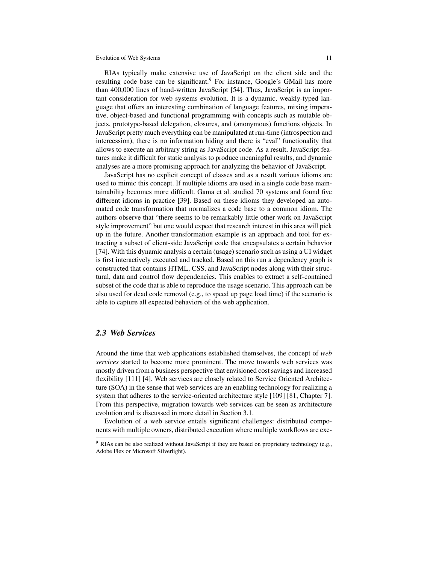RIAs typically make extensive use of JavaScript on the client side and the resulting code base can be significant.<sup>9</sup> For instance, Google's GMail has more than 400,000 lines of hand-written JavaScript [54]. Thus, JavaScript is an important consideration for web systems evolution. It is a dynamic, weakly-typed language that offers an interesting combination of language features, mixing imperative, object-based and functional programming with concepts such as mutable objects, prototype-based delegation, closures, and (anonymous) functions objects. In JavaScript pretty much everything can be manipulated at run-time (introspection and intercession), there is no information hiding and there is "eval" functionality that allows to execute an arbitrary string as JavaScript code. As a result, JavaScript features make it difficult for static analysis to produce meaningful results, and dynamic analyses are a more promising approach for analyzing the behavior of JavaScript.

JavaScript has no explicit concept of classes and as a result various idioms are used to mimic this concept. If multiple idioms are used in a single code base maintainability becomes more difficult. Gama et al. studied 70 systems and found five different idioms in practice [39]. Based on these idioms they developed an automated code transformation that normalizes a code base to a common idiom. The authors observe that "there seems to be remarkably little other work on JavaScript style improvement" but one would expect that research interest in this area will pick up in the future. Another transformation example is an approach and tool for extracting a subset of client-side JavaScript code that encapsulates a certain behavior [74]. With this dynamic analysis a certain (usage) scenario such as using a UI widget is first interactively executed and tracked. Based on this run a dependency graph is constructed that contains HTML, CSS, and JavaScript nodes along with their structural, data and control flow dependencies. This enables to extract a self-contained subset of the code that is able to reproduce the usage scenario. This approach can be also used for dead code removal (e.g., to speed up page load time) if the scenario is able to capture all expected behaviors of the web application.

# *2.3 Web Services*

Around the time that web applications established themselves, the concept of *web services* started to become more prominent. The move towards web services was mostly driven from a business perspective that envisioned cost savings and increased flexibility [111] [4]. Web services are closely related to Service Oriented Architecture (SOA) in the sense that web services are an enabling technology for realizing a system that adheres to the service-oriented architecture style [109] [81, Chapter 7]. From this perspective, migration towards web services can be seen as architecture evolution and is discussed in more detail in Section 3.1.

Evolution of a web service entails significant challenges: distributed components with multiple owners, distributed execution where multiple workflows are exe-

<sup>&</sup>lt;sup>9</sup> RIAs can be also realized without JavaScript if they are based on proprietary technology (e.g., Adobe Flex or Microsoft Silverlight).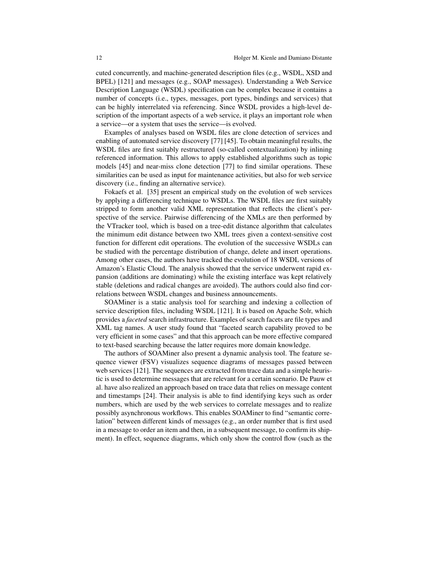cuted concurrently, and machine-generated description files (e.g., WSDL, XSD and BPEL) [121] and messages (e.g., SOAP messages). Understanding a Web Service Description Language (WSDL) specification can be complex because it contains a number of concepts (i.e., types, messages, port types, bindings and services) that can be highly interrelated via referencing. Since WSDL provides a high-level description of the important aspects of a web service, it plays an important role when a service—or a system that uses the service—is evolved.

Examples of analyses based on WSDL files are clone detection of services and enabling of automated service discovery [77] [45]. To obtain meaningful results, the WSDL files are first suitably restructured (so-called contextualization) by inlining referenced information. This allows to apply established algorithms such as topic models [45] and near-miss clone detection [77] to find similar operations. These similarities can be used as input for maintenance activities, but also for web service discovery (i.e., finding an alternative service).

Fokaefs et al. [35] present an empirical study on the evolution of web services by applying a differencing technique to WSDLs. The WSDL files are first suitably stripped to form another valid XML representation that reflects the client's perspective of the service. Pairwise differencing of the XMLs are then performed by the VTracker tool, which is based on a tree-edit distance algorithm that calculates the minimum edit distance between two XML trees given a context-sensitive cost function for different edit operations. The evolution of the successive WSDLs can be studied with the percentage distribution of change, delete and insert operations. Among other cases, the authors have tracked the evolution of 18 WSDL versions of Amazon's Elastic Cloud. The analysis showed that the service underwent rapid expansion (additions are dominating) while the existing interface was kept relatively stable (deletions and radical changes are avoided). The authors could also find correlations between WSDL changes and business announcements.

SOAMiner is a static analysis tool for searching and indexing a collection of service description files, including WSDL [121]. It is based on Apache Solr, which provides a *faceted* search infrastructure. Examples of search facets are file types and XML tag names. A user study found that "faceted search capability proved to be very efficient in some cases" and that this approach can be more effective compared to text-based searching because the latter requires more domain knowledge.

The authors of SOAMiner also present a dynamic analysis tool. The feature sequence viewer (FSV) visualizes sequence diagrams of messages passed between web services [121]. The sequences are extracted from trace data and a simple heuristic is used to determine messages that are relevant for a certain scenario. De Pauw et al. have also realized an approach based on trace data that relies on message content and timestamps [24]. Their analysis is able to find identifying keys such as order numbers, which are used by the web services to correlate messages and to realize possibly asynchronous workflows. This enables SOAMiner to find "semantic correlation" between different kinds of messages (e.g., an order number that is first used in a message to order an item and then, in a subsequent message, to confirm its shipment). In effect, sequence diagrams, which only show the control flow (such as the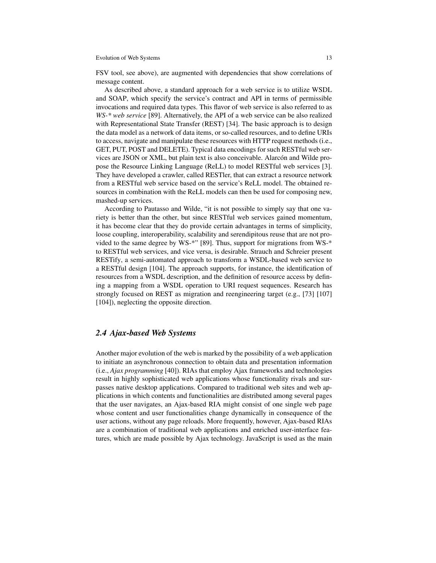FSV tool, see above), are augmented with dependencies that show correlations of message content.

As described above, a standard approach for a web service is to utilize WSDL and SOAP, which specify the service's contract and API in terms of permissible invocations and required data types. This flavor of web service is also referred to as *WS-\* web service* [89]. Alternatively, the API of a web service can be also realized with Representational State Transfer (REST) [34]. The basic approach is to design the data model as a network of data items, or so-called resources, and to define URIs to access, navigate and manipulate these resources with HTTP request methods (i.e., GET, PUT, POST and DELETE). Typical data encodings for such RESTful web services are JSON or XML, but plain text is also conceivable. Alarcón and Wilde propose the Resource Linking Language (ReLL) to model RESTful web services [3]. They have developed a crawler, called RESTler, that can extract a resource network from a RESTful web service based on the service's ReLL model. The obtained resources in combination with the ReLL models can then be used for composing new, mashed-up services.

According to Pautasso and Wilde, "it is not possible to simply say that one variety is better than the other, but since RESTful web services gained momentum, it has become clear that they do provide certain advantages in terms of simplicity, loose coupling, interoperability, scalability and serendipitous reuse that are not provided to the same degree by WS-\*" [89]. Thus, support for migrations from WS-\* to RESTful web services, and vice versa, is desirable. Strauch and Schreier present RESTify, a semi-automated approach to transform a WSDL-based web service to a RESTful design [104]. The approach supports, for instance, the identification of resources from a WSDL description, and the definition of resource access by defining a mapping from a WSDL operation to URI request sequences. Research has strongly focused on REST as migration and reengineering target (e.g., [73] [107] [104]), neglecting the opposite direction.

# *2.4 Ajax-based Web Systems*

Another major evolution of the web is marked by the possibility of a web application to initiate an asynchronous connection to obtain data and presentation information (i.e., *Ajax programming* [40]). RIAs that employ Ajax frameworks and technologies result in highly sophisticated web applications whose functionality rivals and surpasses native desktop applications. Compared to traditional web sites and web applications in which contents and functionalities are distributed among several pages that the user navigates, an Ajax-based RIA might consist of one single web page whose content and user functionalities change dynamically in consequence of the user actions, without any page reloads. More frequently, however, Ajax-based RIAs are a combination of traditional web applications and enriched user-interface features, which are made possible by Ajax technology. JavaScript is used as the main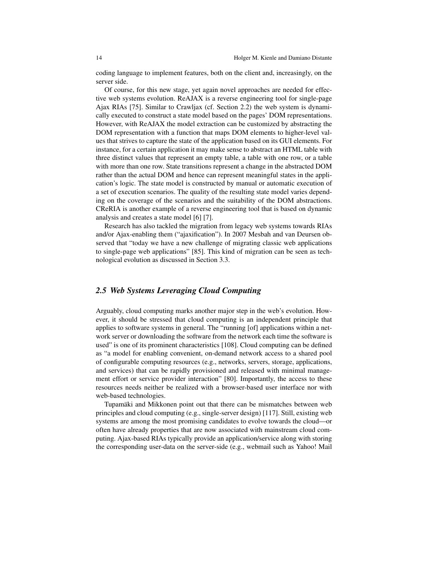coding language to implement features, both on the client and, increasingly, on the server side.

Of course, for this new stage, yet again novel approaches are needed for effective web systems evolution. ReAJAX is a reverse engineering tool for single-page Ajax RIAs [75]. Similar to Crawljax (cf. Section 2.2) the web system is dynamically executed to construct a state model based on the pages' DOM representations. However, with ReAJAX the model extraction can be customized by abstracting the DOM representation with a function that maps DOM elements to higher-level values that strives to capture the state of the application based on its GUI elements. For instance, for a certain application it may make sense to abstract an HTML table with three distinct values that represent an empty table, a table with one row, or a table with more than one row. State transitions represent a change in the abstracted DOM rather than the actual DOM and hence can represent meaningful states in the application's logic. The state model is constructed by manual or automatic execution of a set of execution scenarios. The quality of the resulting state model varies depending on the coverage of the scenarios and the suitability of the DOM abstractions. CReRIA is another example of a reverse engineering tool that is based on dynamic analysis and creates a state model [6] [7].

Research has also tackled the migration from legacy web systems towards RIAs and/or Ajax-enabling them ("ajaxification"). In 2007 Mesbah and van Deursen observed that "today we have a new challenge of migrating classic web applications to single-page web applications" [85]. This kind of migration can be seen as technological evolution as discussed in Section 3.3.

# *2.5 Web Systems Leveraging Cloud Computing*

Arguably, cloud computing marks another major step in the web's evolution. However, it should be stressed that cloud computing is an independent principle that applies to software systems in general. The "running [of] applications within a network server or downloading the software from the network each time the software is used" is one of its prominent characteristics [108]. Cloud computing can be defined as "a model for enabling convenient, on-demand network access to a shared pool of configurable computing resources (e.g., networks, servers, storage, applications, and services) that can be rapidly provisioned and released with minimal management effort or service provider interaction" [80]. Importantly, the access to these resources needs neither be realized with a browser-based user interface nor with web-based technologies.

Tupamäki and Mikkonen point out that there can be mismatches between web principles and cloud computing (e.g., single-server design) [117]. Still, existing web systems are among the most promising candidates to evolve towards the cloud—or often have already properties that are now associated with mainstream cloud computing. Ajax-based RIAs typically provide an application/service along with storing the corresponding user-data on the server-side (e.g., webmail such as Yahoo! Mail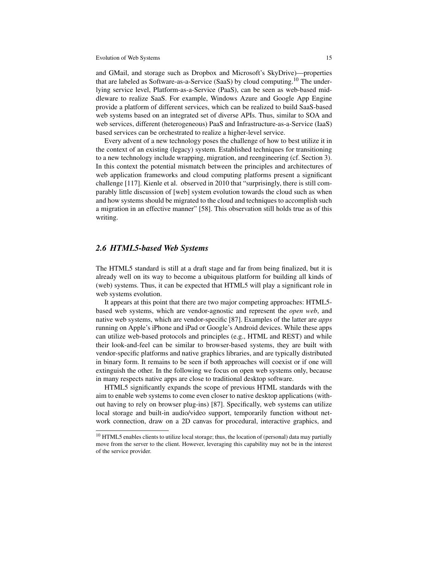and GMail, and storage such as Dropbox and Microsoft's SkyDrive)—properties that are labeled as Software-as-a-Service (SaaS) by cloud computing.<sup>10</sup> The underlying service level, Platform-as-a-Service (PaaS), can be seen as web-based middleware to realize SaaS. For example, Windows Azure and Google App Engine provide a platform of different services, which can be realized to build SaaS-based web systems based on an integrated set of diverse APIs. Thus, similar to SOA and web services, different (heterogeneous) PaaS and Infrastructure-as-a-Service (IaaS) based services can be orchestrated to realize a higher-level service.

Every advent of a new technology poses the challenge of how to best utilize it in the context of an existing (legacy) system. Established techniques for transitioning to a new technology include wrapping, migration, and reengineering (cf. Section 3). In this context the potential mismatch between the principles and architectures of web application frameworks and cloud computing platforms present a significant challenge [117]. Kienle et al. observed in 2010 that "surprisingly, there is still comparably little discussion of [web] system evolution towards the cloud such as when and how systems should be migrated to the cloud and techniques to accomplish such a migration in an effective manner" [58]. This observation still holds true as of this writing.

### *2.6 HTML5-based Web Systems*

The HTML5 standard is still at a draft stage and far from being finalized, but it is already well on its way to become a ubiquitous platform for building all kinds of (web) systems. Thus, it can be expected that HTML5 will play a significant role in web systems evolution.

It appears at this point that there are two major competing approaches: HTML5 based web systems, which are vendor-agnostic and represent the *open web*, and native web systems, which are vendor-specific [87]. Examples of the latter are *apps* running on Apple's iPhone and iPad or Google's Android devices. While these apps can utilize web-based protocols and principles (e.g., HTML and REST) and while their look-and-feel can be similar to browser-based systems, they are built with vendor-specific platforms and native graphics libraries, and are typically distributed in binary form. It remains to be seen if both approaches will coexist or if one will extinguish the other. In the following we focus on open web systems only, because in many respects native apps are close to traditional desktop software.

HTML5 significantly expands the scope of previous HTML standards with the aim to enable web systems to come even closer to native desktop applications (without having to rely on browser plug-ins) [87]. Specifically, web systems can utilize local storage and built-in audio/video support, temporarily function without network connection, draw on a 2D canvas for procedural, interactive graphics, and

<sup>&</sup>lt;sup>10</sup> HTML5 enables clients to utilize local storage; thus, the location of (personal) data may partially move from the server to the client. However, leveraging this capability may not be in the interest of the service provider.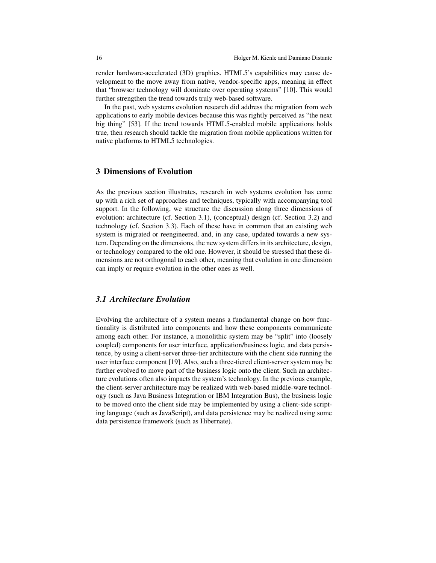render hardware-accelerated (3D) graphics. HTML5's capabilities may cause development to the move away from native, vendor-specific apps, meaning in effect that "browser technology will dominate over operating systems" [10]. This would further strengthen the trend towards truly web-based software.

In the past, web systems evolution research did address the migration from web applications to early mobile devices because this was rightly perceived as "the next big thing" [53]. If the trend towards HTML5-enabled mobile applications holds true, then research should tackle the migration from mobile applications written for native platforms to HTML5 technologies.

# 3 Dimensions of Evolution

As the previous section illustrates, research in web systems evolution has come up with a rich set of approaches and techniques, typically with accompanying tool support. In the following, we structure the discussion along three dimensions of evolution: architecture (cf. Section 3.1), (conceptual) design (cf. Section 3.2) and technology (cf. Section 3.3). Each of these have in common that an existing web system is migrated or reengineered, and, in any case, updated towards a new system. Depending on the dimensions, the new system differs in its architecture, design, or technology compared to the old one. However, it should be stressed that these dimensions are not orthogonal to each other, meaning that evolution in one dimension can imply or require evolution in the other ones as well.

# *3.1 Architecture Evolution*

Evolving the architecture of a system means a fundamental change on how functionality is distributed into components and how these components communicate among each other. For instance, a monolithic system may be "split" into (loosely coupled) components for user interface, application/business logic, and data persistence, by using a client-server three-tier architecture with the client side running the user interface component [19]. Also, such a three-tiered client-server system may be further evolved to move part of the business logic onto the client. Such an architecture evolutions often also impacts the system's technology. In the previous example, the client-server architecture may be realized with web-based middle-ware technology (such as Java Business Integration or IBM Integration Bus), the business logic to be moved onto the client side may be implemented by using a client-side scripting language (such as JavaScript), and data persistence may be realized using some data persistence framework (such as Hibernate).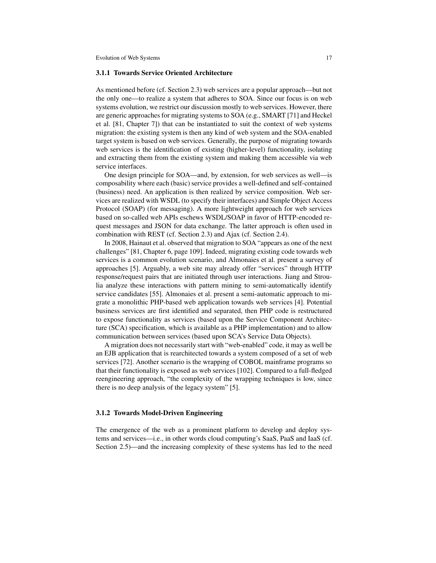#### 3.1.1 Towards Service Oriented Architecture

As mentioned before (cf. Section 2.3) web services are a popular approach—but not the only one—to realize a system that adheres to SOA. Since our focus is on web systems evolution, we restrict our discussion mostly to web services. However, there are generic approaches for migrating systems to SOA (e.g., SMART [71] and Heckel et al. [81, Chapter 7]) that can be instantiated to suit the context of web systems migration: the existing system is then any kind of web system and the SOA-enabled target system is based on web services. Generally, the purpose of migrating towards web services is the identification of existing (higher-level) functionality, isolating and extracting them from the existing system and making them accessible via web service interfaces.

One design principle for SOA—and, by extension, for web services as well—is composability where each (basic) service provides a well-defined and self-contained (business) need. An application is then realized by service composition. Web services are realized with WSDL (to specify their interfaces) and Simple Object Access Protocol (SOAP) (for messaging). A more lightweight approach for web services based on so-called web APIs eschews WSDL/SOAP in favor of HTTP-encoded request messages and JSON for data exchange. The latter approach is often used in combination with REST (cf. Section 2.3) and Ajax (cf. Section 2.4).

In 2008, Hainaut et al. observed that migration to SOA "appears as one of the next challenges" [81, Chapter 6, page 109]. Indeed, migrating existing code towards web services is a common evolution scenario, and Almonaies et al. present a survey of approaches [5]. Arguably, a web site may already offer "services" through HTTP response/request pairs that are initiated through user interactions. Jiang and Stroulia analyze these interactions with pattern mining to semi-automatically identify service candidates [55]. Almonaies et al. present a semi-automatic approach to migrate a monolithic PHP-based web application towards web services [4]. Potential business services are first identified and separated, then PHP code is restructured to expose functionality as services (based upon the Service Component Architecture (SCA) specification, which is available as a PHP implementation) and to allow communication between services (based upon SCA's Service Data Objects).

A migration does not necessarily start with "web-enabled" code, it may as well be an EJB application that is rearchitected towards a system composed of a set of web services [72]. Another scenario is the wrapping of COBOL mainframe programs so that their functionality is exposed as web services [102]. Compared to a full-fledged reengineering approach, "the complexity of the wrapping techniques is low, since there is no deep analysis of the legacy system" [5].

#### 3.1.2 Towards Model-Driven Engineering

The emergence of the web as a prominent platform to develop and deploy systems and services—i.e., in other words cloud computing's SaaS, PaaS and IaaS (cf. Section 2.5)—and the increasing complexity of these systems has led to the need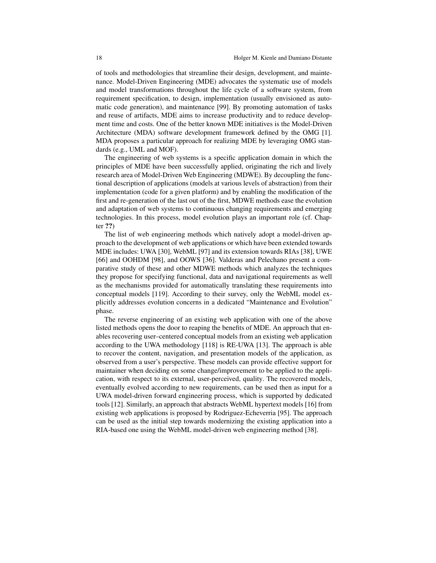of tools and methodologies that streamline their design, development, and maintenance. Model-Driven Engineering (MDE) advocates the systematic use of models and model transformations throughout the life cycle of a software system, from requirement specification, to design, implementation (usually envisioned as automatic code generation), and maintenance [99]. By promoting automation of tasks and reuse of artifacts, MDE aims to increase productivity and to reduce development time and costs. One of the better known MDE initiatives is the Model-Driven Architecture (MDA) software development framework defined by the OMG [1]. MDA proposes a particular approach for realizing MDE by leveraging OMG standards (e.g., UML and MOF).

The engineering of web systems is a specific application domain in which the principles of MDE have been successfully applied, originating the rich and lively research area of Model-Driven Web Engineering (MDWE). By decoupling the functional description of applications (models at various levels of abstraction) from their implementation (code for a given platform) and by enabling the modification of the first and re-generation of the last out of the first, MDWE methods ease the evolution and adaptation of web systems to continuous changing requirements and emerging technologies. In this process, model evolution plays an important role (cf. Chapter ??)

The list of web engineering methods which natively adopt a model-driven approach to the development of web applications or which have been extended towards MDE includes: UWA [30], WebML [97] and its extension towards RIAs [38], UWE [66] and OOHDM [98], and OOWS [36]. Valderas and Pelechano present a comparative study of these and other MDWE methods which analyzes the techniques they propose for specifying functional, data and navigational requirements as well as the mechanisms provided for automatically translating these requirements into conceptual models [119]. According to their survey, only the WebML model explicitly addresses evolution concerns in a dedicated "Maintenance and Evolution" phase.

The reverse engineering of an existing web application with one of the above listed methods opens the door to reaping the benefits of MDE. An approach that enables recovering user–centered conceptual models from an existing web application according to the UWA methodology [118] is RE-UWA [13]. The approach is able to recover the content, navigation, and presentation models of the application, as observed from a user's perspective. These models can provide effective support for maintainer when deciding on some change/improvement to be applied to the application, with respect to its external, user-perceived, quality. The recovered models, eventually evolved according to new requirements, can be used then as input for a UWA model-driven forward engineering process, which is supported by dedicated tools [12]. Similarly, an approach that abstracts WebML hypertext models [16] from existing web applications is proposed by Rodriguez-Echeverria [95]. The approach can be used as the initial step towards modernizing the existing application into a RIA-based one using the WebML model-driven web engineering method [38].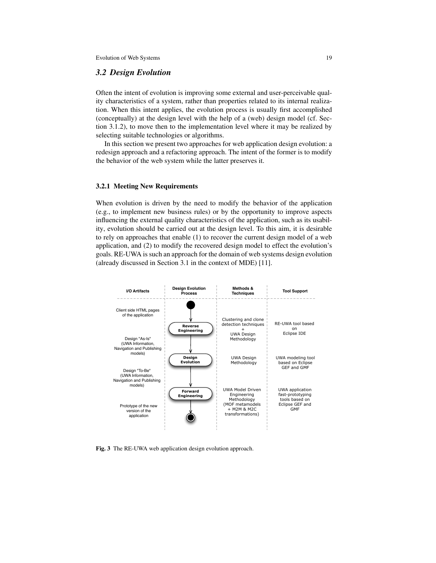### *3.2 Design Evolution*

Often the intent of evolution is improving some external and user-perceivable quality characteristics of a system, rather than properties related to its internal realization. When this intent applies, the evolution process is usually first accomplished (conceptually) at the design level with the help of a (web) design model (cf. Section 3.1.2), to move then to the implementation level where it may be realized by selecting suitable technologies or algorithms.

In this section we present two approaches for web application design evolution: a redesign approach and a refactoring approach. The intent of the former is to modify the behavior of the web system while the latter preserves it.

### 3.2.1 Meeting New Requirements

When evolution is driven by the need to modify the behavior of the application (e.g., to implement new business rules) or by the opportunity to improve aspects influencing the external quality characteristics of the application, such as its usability, evolution should be carried out at the design level. To this aim, it is desirable to rely on approaches that enable (1) to recover the current design model of a web application, and (2) to modify the recovered design model to effect the evolution's goals. RE-UWA is such an approach for the domain of web systems design evolution (already discussed in Section 3.1 in the context of MDE) [11].



Fig. 3 The RE-UWA web application design evolution approach.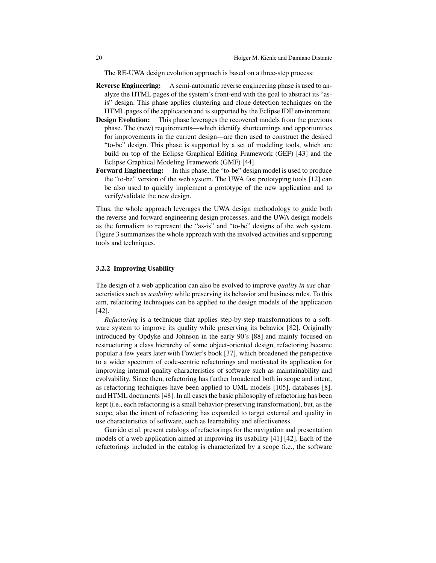The RE-UWA design evolution approach is based on a three-step process:

- Reverse Engineering: A semi-automatic reverse engineering phase is used to analyze the HTML pages of the system's front-end with the goal to abstract its "asis" design. This phase applies clustering and clone detection techniques on the HTML pages of the application and is supported by the Eclipse IDE environment.
- **Design Evolution:** This phase leverages the recovered models from the previous phase. The (new) requirements—which identify shortcomings and opportunities for improvements in the current design—are then used to construct the desired "to-be" design. This phase is supported by a set of modeling tools, which are build on top of the Eclipse Graphical Editing Framework (GEF) [43] and the Eclipse Graphical Modeling Framework (GMF) [44].
- Forward Engineering: In this phase, the "to-be" design model is used to produce the "to-be" version of the web system. The UWA fast prototyping tools [12] can be also used to quickly implement a prototype of the new application and to verify/validate the new design.

Thus, the whole approach leverages the UWA design methodology to guide both the reverse and forward engineering design processes, and the UWA design models as the formalism to represent the "as-is" and "to-be" designs of the web system. Figure 3 summarizes the whole approach with the involved activities and supporting tools and techniques.

### 3.2.2 Improving Usability

The design of a web application can also be evolved to improve *quality in use* characteristics such as *usability* while preserving its behavior and business rules. To this aim, refactoring techniques can be applied to the design models of the application [42].

*Refactoring* is a technique that applies step-by-step transformations to a software system to improve its quality while preserving its behavior [82]. Originally introduced by Opdyke and Johnson in the early 90's [88] and mainly focused on restructuring a class hierarchy of some object-oriented design, refactoring became popular a few years later with Fowler's book [37], which broadened the perspective to a wider spectrum of code-centric refactorings and motivated its application for improving internal quality characteristics of software such as maintainability and evolvability. Since then, refactoring has further broadened both in scope and intent, as refactoring techniques have been applied to UML models [105], databases [8], and HTML documents [48]. In all cases the basic philosophy of refactoring has been kept (i.e., each refactoring is a small behavior-preserving transformation), but, as the scope, also the intent of refactoring has expanded to target external and quality in use characteristics of software, such as learnability and effectiveness.

Garrido et al. present catalogs of refactorings for the navigation and presentation models of a web application aimed at improving its usability [41] [42]. Each of the refactorings included in the catalog is characterized by a scope (i.e., the software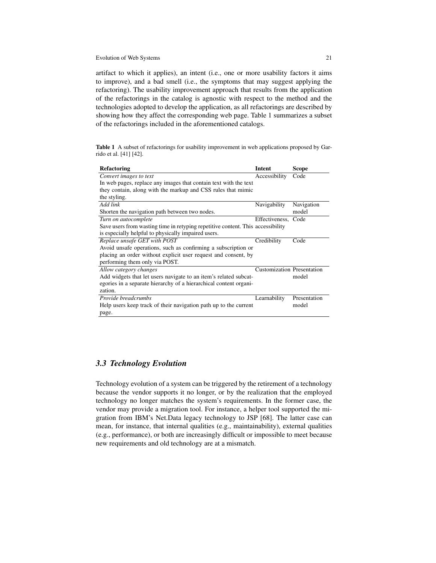artifact to which it applies), an intent (i.e., one or more usability factors it aims to improve), and a bad smell (i.e., the symptoms that may suggest applying the refactoring). The usability improvement approach that results from the application of the refactorings in the catalog is agnostic with respect to the method and the technologies adopted to develop the application, as all refactorings are described by showing how they affect the corresponding web page. Table 1 summarizes a subset of the refactorings included in the aforementioned catalogs.

Table 1 A subset of refactorings for usability improvement in web applications proposed by Garrido et al. [41] [42].

| <b>Refactoring</b>                                                              | Intent                     | Scope        |
|---------------------------------------------------------------------------------|----------------------------|--------------|
| Convert images to text                                                          | Accessibility              | Code         |
| In web pages, replace any images that contain text with the text                |                            |              |
| they contain, along with the markup and CSS rules that mimic                    |                            |              |
| the styling.                                                                    |                            |              |
| Add link                                                                        | Navigability               | Navigation   |
| Shorten the navigation path between two nodes.                                  |                            | model        |
| Turn on autocomplete                                                            | Effectiveness, Code        |              |
| Save users from wasting time in retyping repetitive content. This accessibility |                            |              |
| is especially helpful to physically impaired users.                             |                            |              |
| Replace unsafe GET with POST                                                    | Credibility                | Code         |
| Avoid unsafe operations, such as confirming a subscription or                   |                            |              |
| placing an order without explicit user request and consent, by                  |                            |              |
| performing them only via POST.                                                  |                            |              |
| Allow category changes                                                          | Customization Presentation |              |
| Add widgets that let users navigate to an item's related subcat-                |                            | model        |
| egories in a separate hierarchy of a hierarchical content organi-               |                            |              |
| zation.                                                                         |                            |              |
| Provide breadcrumbs                                                             | Learnability               | Presentation |
| Help users keep track of their navigation path up to the current                |                            | model        |
| page.                                                                           |                            |              |

### *3.3 Technology Evolution*

Technology evolution of a system can be triggered by the retirement of a technology because the vendor supports it no longer, or by the realization that the employed technology no longer matches the system's requirements. In the former case, the vendor may provide a migration tool. For instance, a helper tool supported the migration from IBM's Net.Data legacy technology to JSP [68]. The latter case can mean, for instance, that internal qualities (e.g., maintainability), external qualities (e.g., performance), or both are increasingly difficult or impossible to meet because new requirements and old technology are at a mismatch.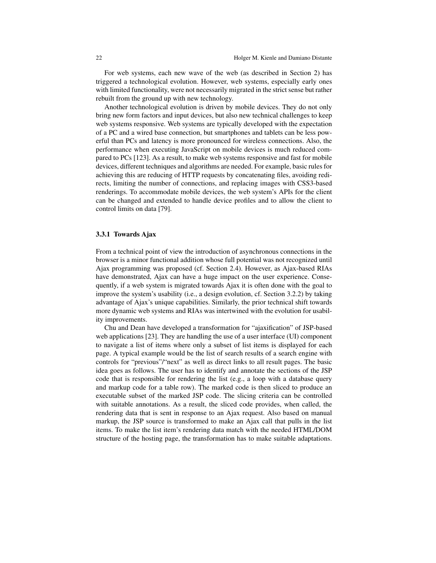For web systems, each new wave of the web (as described in Section 2) has triggered a technological evolution. However, web systems, especially early ones with limited functionality, were not necessarily migrated in the strict sense but rather rebuilt from the ground up with new technology.

Another technological evolution is driven by mobile devices. They do not only bring new form factors and input devices, but also new technical challenges to keep web systems responsive. Web systems are typically developed with the expectation of a PC and a wired base connection, but smartphones and tablets can be less powerful than PCs and latency is more pronounced for wireless connections. Also, the performance when executing JavaScript on mobile devices is much reduced compared to PCs [123]. As a result, to make web systems responsive and fast for mobile devices, different techniques and algorithms are needed. For example, basic rules for achieving this are reducing of HTTP requests by concatenating files, avoiding redirects, limiting the number of connections, and replacing images with CSS3-based renderings. To accommodate mobile devices, the web system's APIs for the client can be changed and extended to handle device profiles and to allow the client to control limits on data [79].

### 3.3.1 Towards Ajax

From a technical point of view the introduction of asynchronous connections in the browser is a minor functional addition whose full potential was not recognized until Ajax programming was proposed (cf. Section 2.4). However, as Ajax-based RIAs have demonstrated, Ajax can have a huge impact on the user experience. Consequently, if a web system is migrated towards Ajax it is often done with the goal to improve the system's usability (i.e., a design evolution, cf. Section 3.2.2) by taking advantage of Ajax's unique capabilities. Similarly, the prior technical shift towards more dynamic web systems and RIAs was intertwined with the evolution for usability improvements.

Chu and Dean have developed a transformation for "ajaxification" of JSP-based web applications [23]. They are handling the use of a user interface (UI) component to navigate a list of items where only a subset of list items is displayed for each page. A typical example would be the list of search results of a search engine with controls for "previous"/"next" as well as direct links to all result pages. The basic idea goes as follows. The user has to identify and annotate the sections of the JSP code that is responsible for rendering the list (e.g., a loop with a database query and markup code for a table row). The marked code is then sliced to produce an executable subset of the marked JSP code. The slicing criteria can be controlled with suitable annotations. As a result, the sliced code provides, when called, the rendering data that is sent in response to an Ajax request. Also based on manual markup, the JSP source is transformed to make an Ajax call that pulls in the list items. To make the list item's rendering data match with the needed HTML/DOM structure of the hosting page, the transformation has to make suitable adaptations.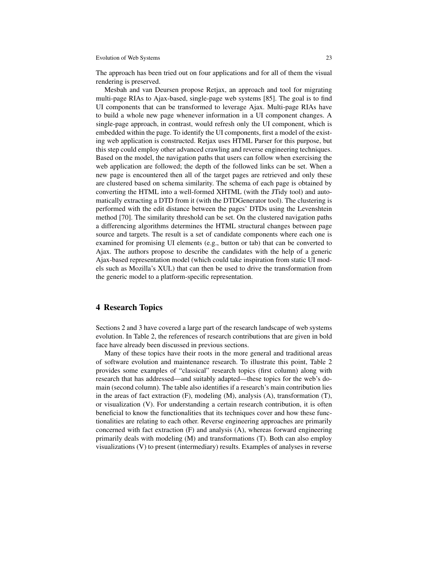The approach has been tried out on four applications and for all of them the visual rendering is preserved.

Mesbah and van Deursen propose Retjax, an approach and tool for migrating multi-page RIAs to Ajax-based, single-page web systems [85]. The goal is to find UI components that can be transformed to leverage Ajax. Multi-page RIAs have to build a whole new page whenever information in a UI component changes. A single-page approach, in contrast, would refresh only the UI component, which is embedded within the page. To identify the UI components, first a model of the existing web application is constructed. Retjax uses HTML Parser for this purpose, but this step could employ other advanced crawling and reverse engineering techniques. Based on the model, the navigation paths that users can follow when exercising the web application are followed; the depth of the followed links can be set. When a new page is encountered then all of the target pages are retrieved and only these are clustered based on schema similarity. The schema of each page is obtained by converting the HTML into a well-formed XHTML (with the JTidy tool) and automatically extracting a DTD from it (with the DTDGenerator tool). The clustering is performed with the edit distance between the pages' DTDs using the Levenshtein method [70]. The similarity threshold can be set. On the clustered navigation paths a differencing algorithms determines the HTML structural changes between page source and targets. The result is a set of candidate components where each one is examined for promising UI elements (e.g., button or tab) that can be converted to Ajax. The authors propose to describe the candidates with the help of a generic Ajax-based representation model (which could take inspiration from static UI models such as Mozilla's XUL) that can then be used to drive the transformation from the generic model to a platform-specific representation.

### 4 Research Topics

Sections 2 and 3 have covered a large part of the research landscape of web systems evolution. In Table 2, the references of research contributions that are given in bold face have already been discussed in previous sections.

Many of these topics have their roots in the more general and traditional areas of software evolution and maintenance research. To illustrate this point, Table 2 provides some examples of "classical" research topics (first column) along with research that has addressed—and suitably adapted—these topics for the web's domain (second column). The table also identifies if a research's main contribution lies in the areas of fact extraction  $(F)$ , modeling  $(M)$ , analysis  $(A)$ , transformation  $(T)$ , or visualization (V). For understanding a certain research contribution, it is often beneficial to know the functionalities that its techniques cover and how these functionalities are relating to each other. Reverse engineering approaches are primarily concerned with fact extraction (F) and analysis (A), whereas forward engineering primarily deals with modeling (M) and transformations (T). Both can also employ visualizations (V) to present (intermediary) results. Examples of analyses in reverse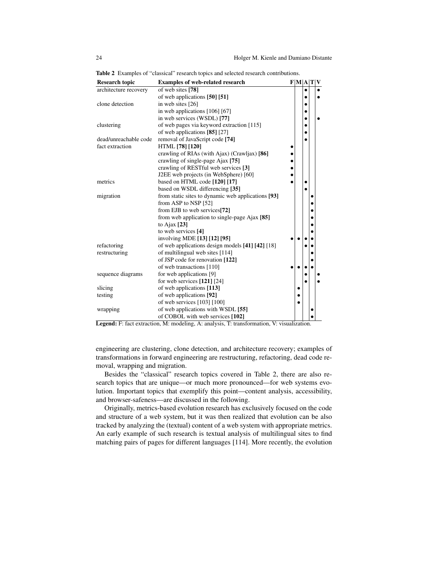| <b>Research topic</b>                      | <b>Examples of web-related research</b>            | F M A T V |  |  |
|--------------------------------------------|----------------------------------------------------|-----------|--|--|
| architecture recovery<br>of web sites [78] |                                                    |           |  |  |
|                                            | of web applications [50] [51]                      |           |  |  |
| clone detection                            | in web sites [26]                                  |           |  |  |
|                                            | in web applications $[106] [67]$                   |           |  |  |
|                                            | in web services (WSDL) [77]                        |           |  |  |
| clustering                                 | of web pages via keyword extraction [115]          |           |  |  |
|                                            | of web applications [85] [27]                      |           |  |  |
| dead/unreachable code                      | removal of JavaScript code [74]                    |           |  |  |
| fact extraction                            | HTML [78] [120]                                    |           |  |  |
|                                            | crawling of RIAs (with Ajax) (Crawljax) [86]       |           |  |  |
|                                            | crawling of single-page Ajax [75]                  |           |  |  |
|                                            | crawling of RESTful web services [3]               |           |  |  |
|                                            | J2EE web projects (in WebSphere) [60]              |           |  |  |
| metrics                                    | based on HTML code [120] [17]                      |           |  |  |
|                                            | based on WSDL differencing [35]                    |           |  |  |
| migration                                  | from static sites to dynamic web applications [93] |           |  |  |
|                                            | from ASP to NSP [52]                               |           |  |  |
|                                            | from EJB to web services[72]                       |           |  |  |
|                                            | from web application to single-page Ajax [85]      |           |  |  |
|                                            | to Ajax $[23]$                                     |           |  |  |
|                                            | to web services [4]                                |           |  |  |
|                                            | involving MDE [13] [12] [95]                       |           |  |  |
| refactoring                                | of web applications design models [41] [42] [18]   |           |  |  |
| restructuring                              | of multilingual web sites [114]                    |           |  |  |
|                                            | of JSP code for renovation [122]                   |           |  |  |
|                                            | of web transactions [110]                          |           |  |  |
| sequence diagrams                          | for web applications [9]                           |           |  |  |
|                                            | for web services $[121]$ $[24]$                    |           |  |  |
| slicing                                    | of web applications [113]                          |           |  |  |
| testing                                    | of web applications [92]                           |           |  |  |
|                                            | of web services [103] [100]                        |           |  |  |
| wrapping                                   | of web applications with WSDL [55]                 |           |  |  |
|                                            | of COBOL with web services [102]                   |           |  |  |

Table 2 Examples of "classical" research topics and selected research contributions.

Legend: F: fact extraction, M: modeling, A: analysis, T: transformation, V: visualization.

engineering are clustering, clone detection, and architecture recovery; examples of transformations in forward engineering are restructuring, refactoring, dead code removal, wrapping and migration.

Besides the "classical" research topics covered in Table 2, there are also research topics that are unique—or much more pronounced—for web systems evolution. Important topics that exemplify this point—content analysis, accessibility, and browser-safeness—are discussed in the following.

Originally, metrics-based evolution research has exclusively focused on the code and structure of a web system, but it was then realized that evolution can be also tracked by analyzing the (textual) content of a web system with appropriate metrics. An early example of such research is textual analysis of multilingual sites to find matching pairs of pages for different languages [114]. More recently, the evolution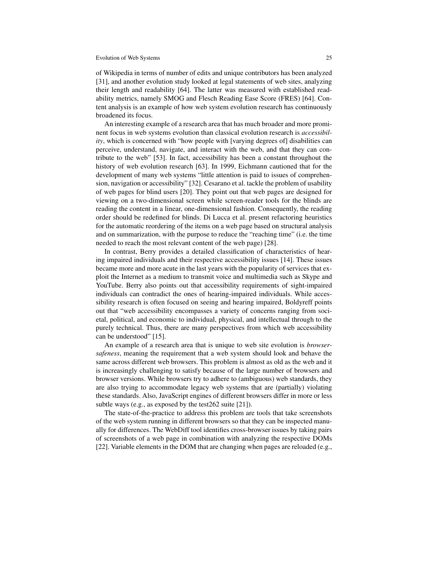of Wikipedia in terms of number of edits and unique contributors has been analyzed [31], and another evolution study looked at legal statements of web sites, analyzing their length and readability [64]. The latter was measured with established readability metrics, namely SMOG and Flesch Reading Ease Score (FRES) [64]. Content analysis is an example of how web system evolution research has continuously broadened its focus.

An interesting example of a research area that has much broader and more prominent focus in web systems evolution than classical evolution research is *accessibility*, which is concerned with "how people with [varying degrees of] disabilities can perceive, understand, navigate, and interact with the web, and that they can contribute to the web" [53]. In fact, accessibility has been a constant throughout the history of web evolution research [63]. In 1999, Eichmann cautioned that for the development of many web systems "little attention is paid to issues of comprehension, navigation or accessibility" [32]. Cesarano et al. tackle the problem of usability of web pages for blind users [20]. They point out that web pages are designed for viewing on a two-dimensional screen while screen-reader tools for the blinds are reading the content in a linear, one-dimensional fashion. Consequently, the reading order should be redefined for blinds. Di Lucca et al. present refactoring heuristics for the automatic reordering of the items on a web page based on structural analysis and on summarization, with the purpose to reduce the "reaching time" (i.e. the time needed to reach the most relevant content of the web page) [28].

In contrast, Berry provides a detailed classification of characteristics of hearing impaired individuals and their respective accessibility issues [14]. These issues became more and more acute in the last years with the popularity of services that exploit the Internet as a medium to transmit voice and multimedia such as Skype and YouTube. Berry also points out that accessibility requirements of sight-impaired individuals can contradict the ones of hearing-impaired individuals. While accessibility research is often focused on seeing and hearing impaired, Boldyreff points out that "web accessibility encompasses a variety of concerns ranging from societal, political, and economic to individual, physical, and intellectual through to the purely technical. Thus, there are many perspectives from which web accessibility can be understood" [15].

An example of a research area that is unique to web site evolution is *browsersafeness*, meaning the requirement that a web system should look and behave the same across different web browsers. This problem is almost as old as the web and it is increasingly challenging to satisfy because of the large number of browsers and browser versions. While browsers try to adhere to (ambiguous) web standards, they are also trying to accommodate legacy web systems that are (partially) violating these standards. Also, JavaScript engines of different browsers differ in more or less subtle ways (e.g., as exposed by the test262 suite [21]).

The state-of-the-practice to address this problem are tools that take screenshots of the web system running in different browsers so that they can be inspected manually for differences. The WebDiff tool identifies cross-browser issues by taking pairs of screenshots of a web page in combination with analyzing the respective DOMs [22]. Variable elements in the DOM that are changing when pages are reloaded (e.g.,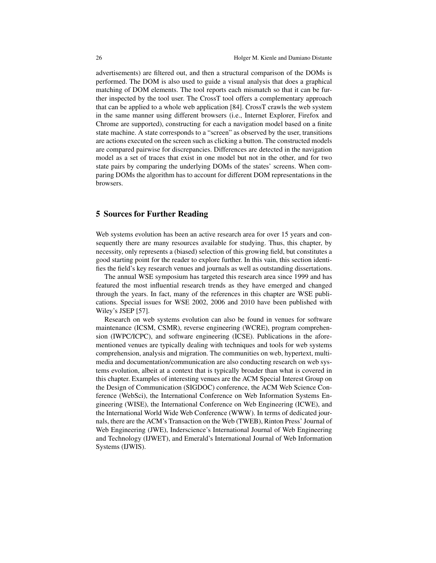advertisements) are filtered out, and then a structural comparison of the DOMs is performed. The DOM is also used to guide a visual analysis that does a graphical matching of DOM elements. The tool reports each mismatch so that it can be further inspected by the tool user. The CrossT tool offers a complementary approach that can be applied to a whole web application [84]. CrossT crawls the web system in the same manner using different browsers (i.e., Internet Explorer, Firefox and Chrome are supported), constructing for each a navigation model based on a finite state machine. A state corresponds to a "screen" as observed by the user, transitions are actions executed on the screen such as clicking a button. The constructed models are compared pairwise for discrepancies. Differences are detected in the navigation model as a set of traces that exist in one model but not in the other, and for two state pairs by comparing the underlying DOMs of the states' screens. When comparing DOMs the algorithm has to account for different DOM representations in the browsers.

# 5 Sources for Further Reading

Web systems evolution has been an active research area for over 15 years and consequently there are many resources available for studying. Thus, this chapter, by necessity, only represents a (biased) selection of this growing field, but constitutes a good starting point for the reader to explore further. In this vain, this section identifies the field's key research venues and journals as well as outstanding dissertations.

The annual WSE symposium has targeted this research area since 1999 and has featured the most influential research trends as they have emerged and changed through the years. In fact, many of the references in this chapter are WSE publications. Special issues for WSE 2002, 2006 and 2010 have been published with Wiley's JSEP [57].

Research on web systems evolution can also be found in venues for software maintenance (ICSM, CSMR), reverse engineering (WCRE), program comprehension (IWPC/ICPC), and software engineering (ICSE). Publications in the aforementioned venues are typically dealing with techniques and tools for web systems comprehension, analysis and migration. The communities on web, hypertext, multimedia and documentation/communication are also conducting research on web systems evolution, albeit at a context that is typically broader than what is covered in this chapter. Examples of interesting venues are the ACM Special Interest Group on the Design of Communication (SIGDOC) conference, the ACM Web Science Conference (WebSci), the International Conference on Web Information Systems Engineering (WISE), the International Conference on Web Engineering (ICWE), and the International World Wide Web Conference (WWW). In terms of dedicated journals, there are the ACM's Transaction on the Web (TWEB), Rinton Press' Journal of Web Engineering (JWE), Inderscience's International Journal of Web Engineering and Technology (IJWET), and Emerald's International Journal of Web Information Systems (IJWIS).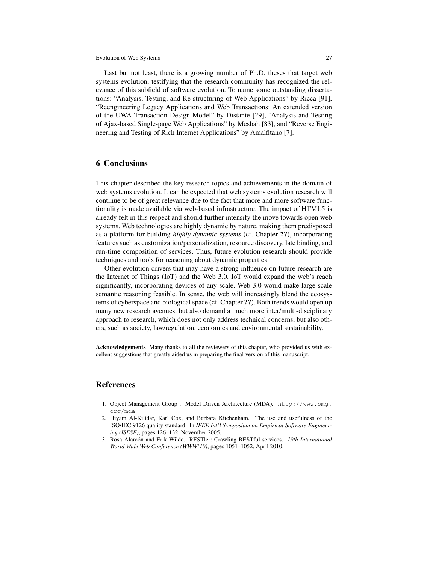Last but not least, there is a growing number of Ph.D. theses that target web systems evolution, testifying that the research community has recognized the relevance of this subfield of software evolution. To name some outstanding dissertations: "Analysis, Testing, and Re-structuring of Web Applications" by Ricca [91], "Reengineering Legacy Applications and Web Transactions: An extended version of the UWA Transaction Design Model" by Distante [29], "Analysis and Testing of Ajax-based Single-page Web Applications" by Mesbah [83], and "Reverse Engineering and Testing of Rich Internet Applications" by Amalfitano [7].

### 6 Conclusions

This chapter described the key research topics and achievements in the domain of web systems evolution. It can be expected that web systems evolution research will continue to be of great relevance due to the fact that more and more software functionality is made available via web-based infrastructure. The impact of HTML5 is already felt in this respect and should further intensify the move towards open web systems. Web technologies are highly dynamic by nature, making them predisposed as a platform for building *highly-dynamic systems* (cf. Chapter ??), incorporating features such as customization/personalization, resource discovery, late binding, and run-time composition of services. Thus, future evolution research should provide techniques and tools for reasoning about dynamic properties.

Other evolution drivers that may have a strong influence on future research are the Internet of Things (IoT) and the Web 3.0. IoT would expand the web's reach significantly, incorporating devices of any scale. Web 3.0 would make large-scale semantic reasoning feasible. In sense, the web will increasingly blend the ecosystems of cyberspace and biological space (cf. Chapter ??). Both trends would open up many new research avenues, but also demand a much more inter/multi-disciplinary approach to research, which does not only address technical concerns, but also others, such as society, law/regulation, economics and environmental sustainability.

Acknowledgements Many thanks to all the reviewers of this chapter, who provided us with excellent suggestions that greatly aided us in preparing the final version of this manuscript.

# References

- 1. Object Management Group . Model Driven Architecture (MDA). http://www.omg. org/mda.
- 2. Hiyam Al-Kilidar, Karl Cox, and Barbara Kitchenham. The use and usefulness of the ISO/IEC 9126 quality standard. In *IEEE Int'l Symposium on Empirical Software Engineering (ISESE)*, pages 126–132, November 2005.
- 3. Rosa Alarcon and Erik Wilde. RESTler: Crawling RESTful services. ´ *19th International World Wide Web Conference (WWW'10)*, pages 1051–1052, April 2010.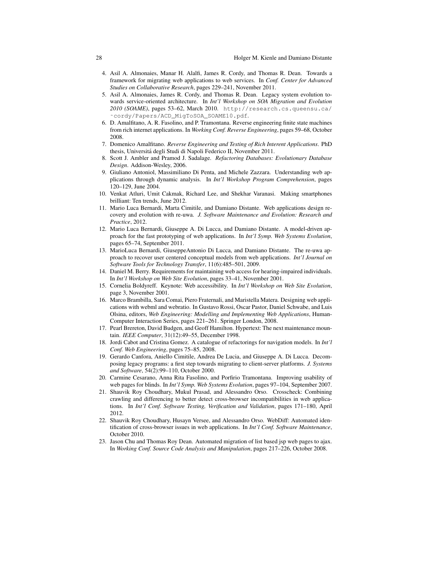- 4. Asil A. Almonaies, Manar H. Alalfi, James R. Cordy, and Thomas R. Dean. Towards a framework for migrating web applications to web services. In *Conf. Center for Advanced Studies on Collaborative Research*, pages 229–241, November 2011.
- 5. Asil A. Almonaies, James R. Cordy, and Thomas R. Dean. Legacy system evolution towards service-oriented architecture. In *Int'l Workshop on SOA Migration and Evolution 2010 (SOAME)*, pages 53–62, March 2010. http://research.cs.queensu.ca/ ˜cordy/Papers/ACD\_MigToSOA\_SOAME10.pdf.
- 6. D. Amalfitano, A. R. Fasolino, and P. Tramontana. Reverse engineering finite state machines from rich internet applications. In *Working Conf. Reverse Engineering*, pages 59–68, October 2008.
- 7. Domenico Amalfitano. *Reverse Engineering and Testing of Rich Interent Applications*. PhD thesis, Universita degli Studi di Napoli Federico II, November 2011. ´
- 8. Scott J. Ambler and Pramod J. Sadalage. *Refactoring Databases: Evolutionary Database Design*. Addison-Wesley, 2006.
- 9. Giuliano Antoniol, Massimiliano Di Penta, and Michele Zazzara. Understanding web applications through dynamic analysis. In *Int'l Workshop Program Comprehension*, pages 120–129, June 2004.
- 10. Venkat Atluri, Umit Cakmak, Richard Lee, and Shekhar Varanasi. Making smartphones brilliant: Ten trends, June 2012.
- 11. Mario Luca Bernardi, Marta Cimitile, and Damiano Distante. Web applications design recovery and evolution with re-uwa. *J. Software Maintenance and Evolution: Research and Practice*, 2012.
- 12. Mario Luca Bernardi, Giuseppe A. Di Lucca, and Damiano Distante. A model-driven approach for the fast prototyping of web applications. In *Int'l Symp. Web Systems Evolution*, pages 65–74, September 2011.
- 13. MarioLuca Bernardi, GiuseppeAntonio Di Lucca, and Damiano Distante. The re-uwa approach to recover user centered conceptual models from web applications. *Int'l Journal on Software Tools for Technology Transfer*, 11(6):485–501, 2009.
- 14. Daniel M. Berry. Requirements for maintaining web access for hearing-impaired individuals. In *Int'l Workshop on Web Site Evolution*, pages 33–41, November 2001.
- 15. Cornelia Boldyreff. Keynote: Web accessibility. In *Int'l Workshop on Web Site Evolution*, page 3, November 2001.
- 16. Marco Brambilla, Sara Comai, Piero Fraternali, and Maristella Matera. Designing web applications with webml and webratio. In Gustavo Rossi, Oscar Pastor, Daniel Schwabe, and Luis Olsina, editors, *Web Engineering: Modelling and Implementing Web Applications*, Human-Computer Interaction Series, pages 221–261. Springer London, 2008.
- 17. Pearl Brereton, David Budgen, and Geoff Hamilton. Hypertext: The next maintenance mountain. *IEEE Computer*, 31(12):49–55, December 1998.
- 18. Jordi Cabot and Cristina Gomez. A catalogue of refactorings for navigation models. In *Int'l Conf. Web Engineering*, pages 75–85, 2008.
- 19. Gerardo Canfora, Aniello Cimitile, Andrea De Lucia, and Giuseppe A. Di Lucca. Decomposing legacy programs: a first step towards migrating to client-server platforms. *J. Systems and Software*, 54(2):99–110, October 2000.
- 20. Carmine Cesarano, Anna Rita Fasolino, and Porfirio Tramontana. Improving usability of web pages for blinds. In *Int'l Symp. Web Systems Evolution*, pages 97–104, September 2007.
- 21. Shauvik Roy Choudhary, Mukul Prasad, and Alessandro Orso. Crosscheck: Combining crawling and differencing to better detect cross-browser incompatibilities in web applications. In *Int'l Conf. Software Testing, Verification and Validation*, pages 171–180, April 2012.
- 22. Shauvik Roy Choudhary, Husayn Versee, and Alessandro Orso. WebDiff: Automated identification of cross-browser issues in web applications. In *Int'l Conf. Software Maintenance*, October 2010.
- 23. Jason Chu and Thomas Roy Dean. Automated migration of list based jsp web pages to ajax. In *Working Conf. Source Code Analysis and Manipulation*, pages 217–226, October 2008.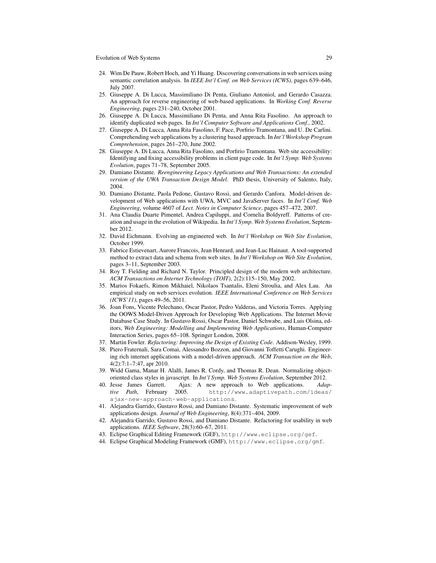- 24. Wim De Pauw, Robert Hoch, and Yi Huang. Discovering conversations in web services using semantic correlation analysis. In *IEEE Int'l Conf. on Web Services (ICWS)*, pages 639–646, July 2007.
- 25. Giuseppe A. Di Lucca, Massimiliano Di Penta, Giuliano Antoniol, and Gerardo Casazza. An approach for reverse engineering of web-based applications. In *Working Conf. Reverse Engineering*, pages 231–240, October 2001.
- 26. Giuseppe A. Di Lucca, Massimiliano Di Penta, and Anna Rita Fasolino. An approach to identify duplicated web pages. In *Int'l Computer Software and Applications Conf.*, 2002.
- 27. Giuseppe A. Di Lucca, Anna Rita Fasolino, F. Pace, Porfirio Tramontana, and U. De Carlini. Comprehending web applications by a clustering based approach. In *Int'l Workshop Program Comprehension*, pages 261–270, June 2002.
- 28. Giuseppe A. Di Lucca, Anna Rita Fasolino, and Porfirio Tramontana. Web site accessibility: Identifying and fixing accessibility problems in client page code. In *Int'l Symp. Web Systems Evolution*, pages 71–78, September 2005.
- 29. Damiano Distante. *Reengineering Legacy Applications and Web Transactions: An extended version of the UWA Transaction Design Model*. PhD thesis, University of Salento, Italy, 2004.
- 30. Damiano Distante, Paola Pedone, Gustavo Rossi, and Gerardo Canfora. Model-driven development of Web applications with UWA, MVC and JavaServer faces. In *Int'l Conf. Web Engineering*, volume 4607 of *Lect. Notes in Computer Science*, pages 457–472, 2007.
- 31. Ana Claudia Duarte Pimentel, Andrea Capiluppi, and Cornelia Boldyreff. Patterns of creation and usage in the evolution of Wikipedia. In *Int'l Symp. Web Systems Evolution*, September 2012.
- 32. David Eichmann. Evolving an engineered web. In *Int'l Workshop on Web Site Evolution*, October 1999.
- 33. Fabrice Estievenart, Aurore Francois, Jean Henrard, and Jean-Luc Hainaut. A tool-supported method to extract data and schema from web sites. In *Int'l Workshop on Web Site Evolution*, pages 3–11, September 2003.
- 34. Roy T. Fielding and Richard N. Taylor. Principled design of the modern web architecture. *ACM Transactions on Internet Technology (TOIT)*, 2(2):115–150, May 2002.
- 35. Marios Fokaefs, Rimon Mikhaiel, Nikolaos Tsantalis, Eleni Stroulia, and Alex Lau. An empirical study on web services evolution. *IEEE International Conference on Web Services (ICWS'11)*, pages 49–56, 2011.
- 36. Joan Fons, Vicente Pelechano, Oscar Pastor, Pedro Valderas, and Victoria Torres. Applying the OOWS Model-Driven Approach for Developing Web Applications. The Internet Movie Database Case Study. In Gustavo Rossi, Oscar Pastor, Daniel Schwabe, and Luis Olsina, editors, *Web Engineering: Modelling and Implementing Web Applications*, Human-Computer Interaction Series, pages 65–108. Springer London, 2008.
- 37. Martin Fowler. *Refactoring: Improving the Design of Existing Code*. Addison-Wesley, 1999.
- 38. Piero Fraternali, Sara Comai, Alessandro Bozzon, and Giovanni Toffetti Carughi. Engineering rich internet applications with a model-driven approach. *ACM Transaction on the Web*, 4(2):7:1–7:47, apr 2010.
- 39. Widd Gama, Manar H. Alalfi, James R. Cordy, and Thomas R. Dean. Normalizing objectoriented class styles in javascript. In *Int'l Symp. Web Systems Evolution*, September 2012.
- 40. Jesse James Garrett. Ajax: A new approach to Web applications. *Adaptive Path*, February 2005. http://www.adaptivepath.com/ideas/ ajax-new-approach-web-applications.
- 41. Alejandra Garrido, Gustavo Rossi, and Damiano Distante. Systematic improvement of web applications design. *Journal of Web Engineering*, 8(4):371–404, 2009.
- 42. Alejandra Garrido, Gustavo Rossi, and Damiano Distante. Refactoring for usability in web applications. *IEEE Software*, 28(3):60–67, 2011.
- 43. Eclipse Graphical Editing Framework (GEF), http://www.eclipse.org/gef.
- 44. Eclipse Graphical Modeling Framework (GMF), http://www.eclipse.org/gmf.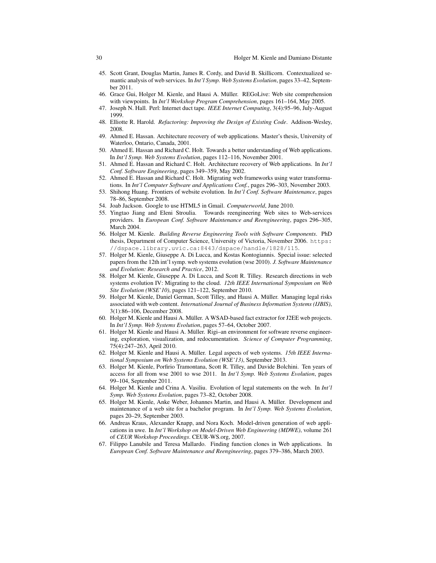- 45. Scott Grant, Douglas Martin, James R. Cordy, and David B. Skillicorn. Contextualized semantic analysis of web services. In *Int'l Symp. Web Systems Evolution*, pages 33–42, September 2011.
- 46. Grace Gui, Holger M. Kienle, and Hausi A. Müller. REGoLive: Web site comprehension with viewpoints. In *Int'l Workshop Program Comprehension*, pages 161–164, May 2005.
- 47. Joseph N. Hall. Perl: Internet duct tape. *IEEE Internet Computing*, 3(4):95–96, July-August 1999.
- 48. Elliotte R. Harold. *Refactoring: Improving the Design of Existing Code*. Addison-Wesley, 2008.
- 49. Ahmed E. Hassan. Architecture recovery of web applications. Master's thesis, University of Waterloo, Ontario, Canada, 2001.
- 50. Ahmed E. Hassan and Richard C. Holt. Towards a better understanding of Web applications. In *Int'l Symp. Web Systems Evolution*, pages 112–116, November 2001.
- 51. Ahmed E. Hassan and Richard C. Holt. Architecture recovery of Web applications. In *Int'l Conf. Software Engineering*, pages 349–359, May 2002.
- 52. Ahmed E. Hassan and Richard C. Holt. Migrating web frameworks using water transformations. In *Int'l Computer Software and Applications Conf.*, pages 296–303, November 2003.
- 53. Shihong Huang. Frontiers of website evolution. In *Int'l Conf. Software Maintenance*, pages 78–86, September 2008.
- 54. Joab Jackson. Google to use HTML5 in Gmail. *Computerworld*, June 2010.
- 55. Yingtao Jiang and Eleni Stroulia. Towards reengineering Web sites to Web-services providers. In *European Conf. Software Maintenance and Reengineering*, pages 296–305, March 2004.
- 56. Holger M. Kienle. *Building Reverse Engineering Tools with Software Components*. PhD thesis, Department of Computer Science, University of Victoria, November 2006. https: //dspace.library.uvic.ca:8443/dspace/handle/1828/115.
- 57. Holger M. Kienle, Giuseppe A. Di Lucca, and Kostas Kontogiannis. Special issue: selected papers from the 12th int'l symp. web systems evolution (wse 2010). *J. Software Maintenance and Evolution: Research and Practice*, 2012.
- 58. Holger M. Kienle, Giuseppe A. Di Lucca, and Scott R. Tilley. Research directions in web systems evolution IV: Migrating to the cloud. *12th IEEE International Symposium on Web Site Evolution (WSE'10)*, pages 121–122, September 2010.
- 59. Holger M. Kienle, Daniel German, Scott Tilley, and Hausi A. Müller. Managing legal risks associated with web content. *International Journal of Business Information Systems (IJBIS)*, 3(1):86–106, December 2008.
- 60. Holger M. Kienle and Hausi A. Muller. A WSAD-based fact extractor for J2EE web projects. ¨ In *Int'l Symp. Web Systems Evolution*, pages 57–64, October 2007.
- 61. Holger M. Kienle and Hausi A. Muller. Rigi–an environment for software reverse engineer- ¨ ing, exploration, visualization, and redocumentation. *Science of Computer Programming*, 75(4):247–263, April 2010.
- 62. Holger M. Kienle and Hausi A. Müller. Legal aspects of web systems. *15th IEEE International Symposium on Web Systems Evolution (WSE'13)*, September 2013.
- 63. Holger M. Kienle, Porfirio Tramontana, Scott R. Tilley, and Davide Bolchini. Ten years of access for all from wse 2001 to wse 2011. In *Int'l Symp. Web Systems Evolution*, pages 99–104, September 2011.
- 64. Holger M. Kienle and Crina A. Vasiliu. Evolution of legal statements on the web. In *Int'l Symp. Web Systems Evolution*, pages 73–82, October 2008.
- 65. Holger M. Kienle, Anke Weber, Johannes Martin, and Hausi A. Müller. Development and maintenance of a web site for a bachelor program. In *Int'l Symp. Web Systems Evolution*, pages 20–29, September 2003.
- 66. Andreas Kraus, Alexander Knapp, and Nora Koch. Model-driven generation of web applications in uwe. In *Int'l Workshop on Model-Driven Web Engineering (MDWE)*, volume 261 of *CEUR Workshop Proceedings*. CEUR-WS.org, 2007.
- 67. Filippo Lanubile and Teresa Mallardo. Finding function clones in Web applications. In *European Conf. Software Maintenance and Reengineering*, pages 379–386, March 2003.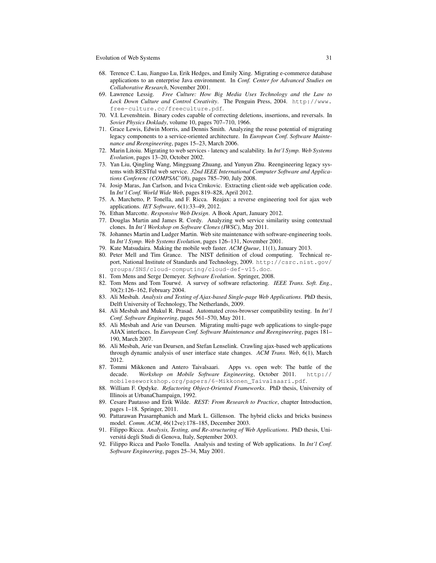- 68. Terence C. Lau, Jianguo Lu, Erik Hedges, and Emily Xing. Migrating e-commerce database applications to an enterprise Java environment. In *Conf. Center for Advanced Studies on Collaborative Research*, November 2001.
- 69. Lawrence Lessig. *Free Culture: How Big Media Uses Technology and the Law to Lock Down Culture and Control Creativity*. The Penguin Press, 2004. http://www. free-culture.cc/freeculture.pdf.
- 70. V.I. Levenshtein. Binary codes capable of correcting deletions, insertions, and reversals. In *Soviet Physics Doklady*, volume 10, pages 707–710, 1966.
- 71. Grace Lewis, Edwin Morris, and Dennis Smith. Analyzing the reuse potential of migrating legacy components to a service-oriented architecture. In *European Conf. Software Maintenance and Reengineering*, pages 15–23, March 2006.
- 72. Marin Litoiu. Migrating to web services latency and scalability. In *Int'l Symp. Web Systems Evolution*, pages 13–20, October 2002.
- 73. Yan Liu, Qingling Wang, Mingguang Zhuang, and Yunyun Zhu. Reengineering legacy systems with RESTful web service. *32nd IEEE International Computer Software and Applications Conferenc (COMPSAC'08)*, pages 785–790, July 2008.
- 74. Josip Maras, Jan Carlson, and Ivica Crnkovic. Extracting client-side web application code. In *Int'l Conf. World Wide Web*, pages 819–828, April 2012.
- 75. A. Marchetto, P. Tonella, and F. Ricca. Reajax: a reverse engineering tool for ajax web applications. *IET Software*, 6(1):33–49, 2012.
- 76. Ethan Marcotte. *Responsive Web Design*. A Book Apart, January 2012.
- 77. Douglas Martin and James R. Cordy. Analyzing web service similarity using contextual clones. In *Int'l Workshop on Software Clones (IWSC)*, May 2011.
- 78. Johannes Martin and Ludger Martin. Web site maintenance with software-engineering tools. In *Int'l Symp. Web Systems Evolution*, pages 126–131, November 2001.
- 79. Kate Matsudaira. Making the mobile web faster. *ACM Queue*, 11(1), January 2013.
- 80. Peter Mell and Tim Grance. The NIST definition of cloud computing. Technical report, National Institute of Standards and Technology, 2009. http://csrc.nist.gov/ groups/SNS/cloud-computing/cloud-def-v15.doc.
- 81. Tom Mens and Serge Demeyer. *Software Evolution*. Springer, 2008.
- 82. Tom Mens and Tom Tourwe. A survey of software refactoring. ´ *IEEE Trans. Soft. Eng.*, 30(2):126–162, February 2004.
- 83. Ali Mesbah. *Analysis and Testing of Ajax-based Single-page Web Applications*. PhD thesis, Delft University of Technology, The Netherlands, 2009.
- 84. Ali Mesbah and Mukul R. Prasad. Automated cross-browser compatibility testing. In *Int'l Conf. Software Engineering*, pages 561–570, May 2011.
- 85. Ali Mesbah and Arie van Deursen. Migrating multi-page web applications to single-page AJAX interfaces. In *European Conf. Software Maintenance and Reengineering*, pages 181– 190, March 2007.
- 86. Ali Mesbah, Arie van Deursen, and Stefan Lenselink. Crawling ajax-based web applications through dynamic analysis of user interface state changes. *ACM Trans. Web*, 6(1), March 2012.
- 87. Tommi Mikkonen and Antero Taivalsaari. Apps vs. open web: The battle of the decade. *Workshop on Mobile Software Engineering*, October 2011. http:// mobileseworkshop.org/papers/6-Mikkonen\_Taivalsaari.pdf.
- 88. William F. Opdyke. *Refactoring Object-Oriented Frameworks*. PhD thesis, University of Illinois at UrbanaChampaign, 1992.
- 89. Cesare Pautasso and Erik Wilde. *REST: From Research to Practice*, chapter Introduction, pages 1–18. Springer, 2011.
- 90. Pattarawan Prasarnphanich and Mark L. Gillenson. The hybrid clicks and bricks business model. *Comm. ACM*, 46(12ve):178–185, December 2003.
- 91. Filippo Ricca. *Analysis, Testing, and Re-structuring of Web Applications*. PhD thesis, Universita degli Studi di Genova, Italy, September 2003. ´
- 92. Filippo Ricca and Paolo Tonella. Analysis and testing of Web applications. In *Int'l Conf. Software Engineering*, pages 25–34, May 2001.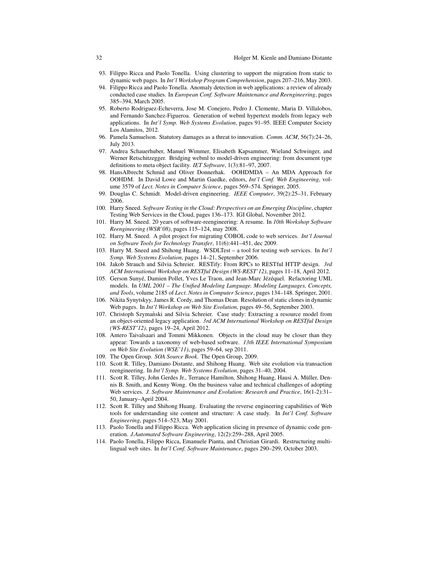- 93. Filippo Ricca and Paolo Tonella. Using clustering to support the migration from static to dynamic web pages. In *Int'l Workshop Program Comprehension*, pages 207–216, May 2003.
- 94. Filippo Ricca and Paolo Tonella. Anomaly detection in web applications: a review of already conducted case studies. In *European Conf. Software Maintenance and Reengineering*, pages 385–394, March 2005.
- 95. Roberto Rodriguez-Echeverra, Jose M. Conejero, Pedro J. Clemente, Maria D. Villalobos, and Fernando Sanchez-Figueroa. Generation of webml hypertext models from legacy web applications. In *Int'l Symp. Web Systems Evolution*, pages 91–95. IEEE Computer Society Los Alamitos, 2012.
- 96. Pamela Samuelson. Statutory damages as a threat to innovation. *Comm. ACM*, 56(7):24–26, July 2013.
- 97. Andrea Schauerhuber, Manuel Wimmer, Elisabeth Kapsammer, Wieland Schwinger, and Werner Retschitzegger. Bridging webml to model-driven engineering: from document type definitions to meta object facility. *IET Software*, 1(3):81–97, 2007.
- 98. HansAlbrecht Schmid and Oliver Donnerhak. OOHDMDA An MDA Approach for OOHDM. In David Lowe and Martin Gaedke, editors, *Int'l Conf. Web Engineering*, volume 3579 of *Lect. Notes in Computer Science*, pages 569–574. Springer, 2005.
- 99. Douglas C. Schmidt. Model-driven engineering. *IEEE Computer*, 39(2):25–31, February 2006.
- 100. Harry Sneed. *Software Testing in the Cloud: Perspectives on an Emerging Discipline*, chapter Testing Web Services in the Cloud, pages 136–173. IGI Global, November 2012.
- 101. Harry M. Sneed. 20 years of software-reengineering: A resume. In *10th Workshop Software Reengineering (WSR'08)*, pages 115–124, may 2008.
- 102. Harry M. Sneed. A pilot project for migrating COBOL code to web services. *Int'l Journal on Software Tools for Technology Transfer*, 11(6):441–451, dec 2009.
- 103. Harry M. Sneed and Shihong Huang. WSDLTest a tool for testing web services. In *Int'l Symp. Web Systems Evolution*, pages 14–21, September 2006.
- 104. Jakob Strauch and Silvia Schreier. RESTify: From RPCs to RESTful HTTP design. *3rd ACM International Workshop on RESTful Design (WS-REST'12)*, pages 11–18, April 2012.
- 105. Gerson Sunyé, Damien Pollet, Yves Le Traon, and Jean-Marc Jézéquel. Refactoring UML models. In *UML 2001 – The Unified Modeling Language. Modeling Languages, Concepts, and Tools*, volume 2185 of *Lect. Notes in Computer Science*, pages 134–148. Springer, 2001.
- 106. Nikita Synytskyy, James R. Cordy, and Thomas Dean. Resolution of static clones in dynamic Web pages. In *Int'l Workshop on Web Site Evolution*, pages 49–56, September 2003.
- 107. Christoph Szymanski and Silvia Schreier. Case study: Extracting a resource model from ` an object-oriented legacy application. *3rd ACM International Workshop on RESTful Design (WS-REST'12)*, pages 19–24, April 2012.
- 108. Antero Taivalsaari and Tommi Mikkonen. Objects in the cloud may be closer than they appear: Towards a taxonomy of web-based software. *13th IEEE International Symposium on Web Site Evolution (WSE'11)*, pages 59–64, sep 2011.
- 109. The Open Group. *SOA Source Book*. The Open Group, 2009.
- 110. Scott R. Tilley, Damiano Distante, and Shihong Huang. Web site evolution via transaction reengineering. In *Int'l Symp. Web Systems Evolution*, pages 31–40, 2004.
- 111. Scott R. Tilley, John Gerdes Jr., Terrance Hamilton, Shihong Huang, Hausi A. Muller, Den- ¨ nis B. Smith, and Kenny Wong. On the business value and technical challenges of adopting Web services. *J. Software Maintenance and Evolution: Research and Practice*, 16(1-2):31– 50, January–April 2004.
- 112. Scott R. Tilley and Shihong Huang. Evaluating the reverse engineering capabilities of Web tools for understanding site content and structure: A case study. In *Int'l Conf. Software Engineering*, pages 514–523, May 2001.
- 113. Paolo Tonella and Filippo Ricca. Web application slicing in presence of dynamic code generation. *J.Automated Software Engineering*, 12(2):259–288, April 2005.
- 114. Paolo Tonella, Filippo Ricca, Emanuele Pianta, and Christian Girardi. Restructuring multilingual web sites. In *Int'l Conf. Software Maintenance*, pages 290–299, October 2003.